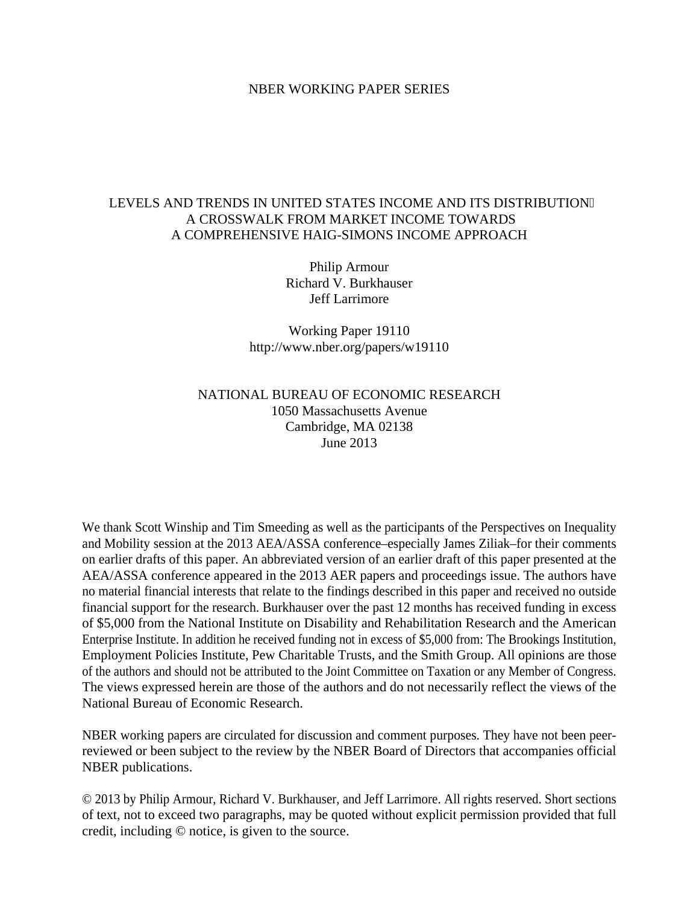## NBER WORKING PAPER SERIES

# LEVELS AND TRENDS IN UNITED STATES INCOME AND ITS DISTRIBUTION A CROSSWALK FROM MARKET INCOME TOWARDS A COMPREHENSIVE HAIG-SIMONS INCOME APPROACH

Philip Armour Richard V. Burkhauser Jeff Larrimore

Working Paper 19110 http://www.nber.org/papers/w19110

# NATIONAL BUREAU OF ECONOMIC RESEARCH 1050 Massachusetts Avenue Cambridge, MA 02138 June 2013

We thank Scott Winship and Tim Smeeding as well as the participants of the Perspectives on Inequality and Mobility session at the 2013 AEA/ASSA conference–especially James Ziliak–for their comments on earlier drafts of this paper. An abbreviated version of an earlier draft of this paper presented at the AEA/ASSA conference appeared in the 2013 AER papers and proceedings issue. The authors have no material financial interests that relate to the findings described in this paper and received no outside financial support for the research. Burkhauser over the past 12 months has received funding in excess of \$5,000 from the National Institute on Disability and Rehabilitation Research and the American Enterprise Institute. In addition he received funding not in excess of \$5,000 from: The Brookings Institution, Employment Policies Institute, Pew Charitable Trusts, and the Smith Group. All opinions are those of the authors and should not be attributed to the Joint Committee on Taxation or any Member of Congress. The views expressed herein are those of the authors and do not necessarily reflect the views of the National Bureau of Economic Research.

NBER working papers are circulated for discussion and comment purposes. They have not been peerreviewed or been subject to the review by the NBER Board of Directors that accompanies official NBER publications.

© 2013 by Philip Armour, Richard V. Burkhauser, and Jeff Larrimore. All rights reserved. Short sections of text, not to exceed two paragraphs, may be quoted without explicit permission provided that full credit, including © notice, is given to the source.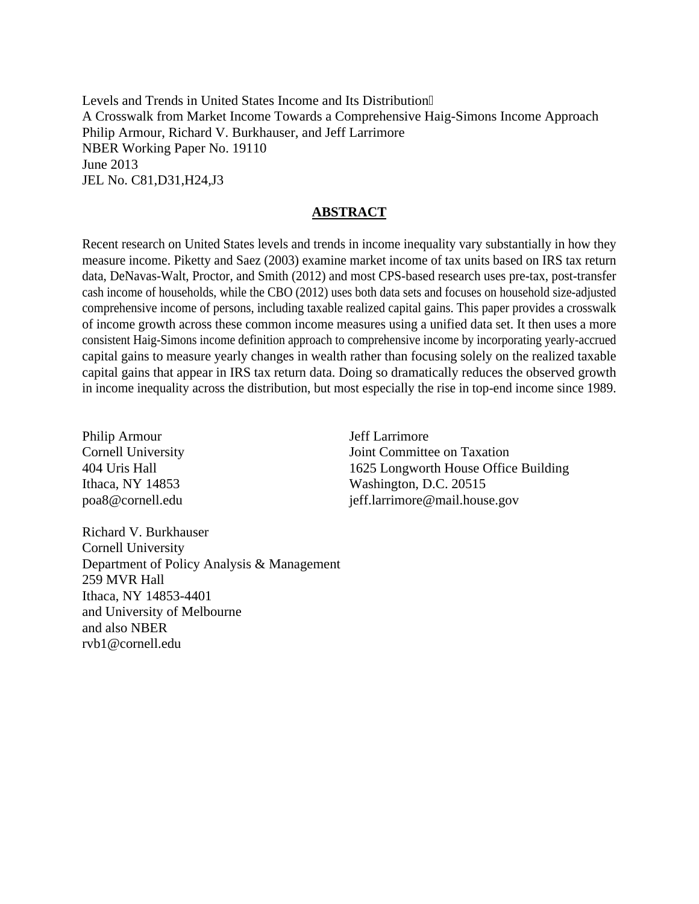Levels and Trends in United States Income and Its Distribution A Crosswalk from Market Income Towards a Comprehensive Haig-Simons Income Approach Philip Armour, Richard V. Burkhauser, and Jeff Larrimore NBER Working Paper No. 19110 June 2013 JEL No. C81,D31,H24,J3

# **ABSTRACT**

Recent research on United States levels and trends in income inequality vary substantially in how they measure income. Piketty and Saez (2003) examine market income of tax units based on IRS tax return data, DeNavas-Walt, Proctor, and Smith (2012) and most CPS-based research uses pre-tax, post-transfer cash income of households, while the CBO (2012) uses both data sets and focuses on household size-adjusted comprehensive income of persons, including taxable realized capital gains. This paper provides a crosswalk of income growth across these common income measures using a unified data set. It then uses a more consistent Haig-Simons income definition approach to comprehensive income by incorporating yearly-accrued capital gains to measure yearly changes in wealth rather than focusing solely on the realized taxable capital gains that appear in IRS tax return data. Doing so dramatically reduces the observed growth in income inequality across the distribution, but most especially the rise in top-end income since 1989.

Philip Armour Cornell University 404 Uris Hall Ithaca, NY 14853 poa8@cornell.edu

Jeff Larrimore Joint Committee on Taxation 1625 Longworth House Office Building Washington, D.C. 20515 jeff.larrimore@mail.house.gov

Richard V. Burkhauser Cornell University Department of Policy Analysis & Management 259 MVR Hall Ithaca, NY 14853-4401 and University of Melbourne and also NBER rvb1@cornell.edu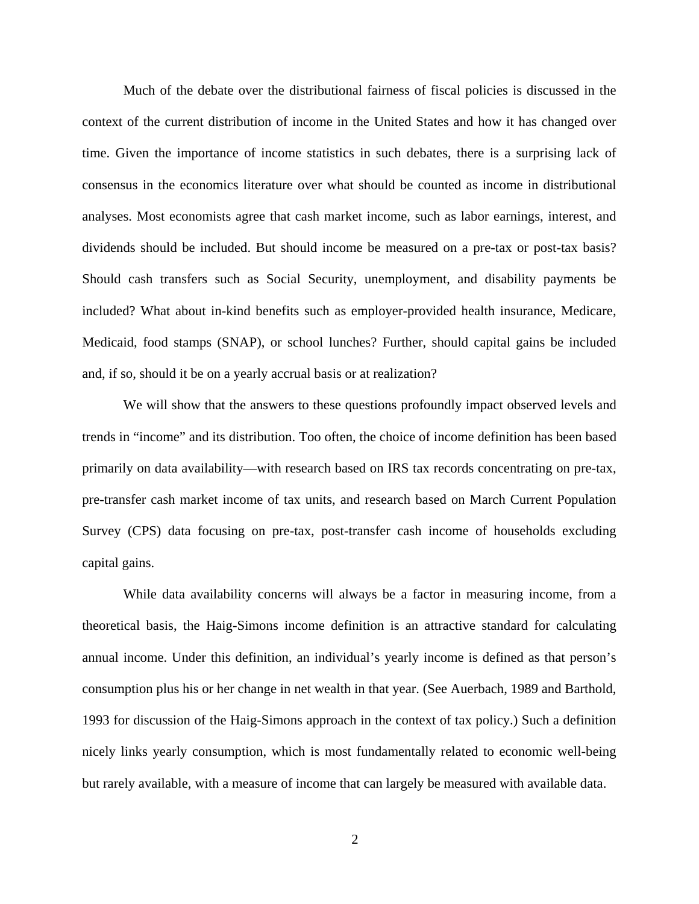Much of the debate over the distributional fairness of fiscal policies is discussed in the context of the current distribution of income in the United States and how it has changed over time. Given the importance of income statistics in such debates, there is a surprising lack of consensus in the economics literature over what should be counted as income in distributional analyses. Most economists agree that cash market income, such as labor earnings, interest, and dividends should be included. But should income be measured on a pre-tax or post-tax basis? Should cash transfers such as Social Security, unemployment, and disability payments be included? What about in-kind benefits such as employer-provided health insurance, Medicare, Medicaid, food stamps (SNAP), or school lunches? Further, should capital gains be included and, if so, should it be on a yearly accrual basis or at realization?

We will show that the answers to these questions profoundly impact observed levels and trends in "income" and its distribution. Too often, the choice of income definition has been based primarily on data availability—with research based on IRS tax records concentrating on pre-tax, pre-transfer cash market income of tax units, and research based on March Current Population Survey (CPS) data focusing on pre-tax, post-transfer cash income of households excluding capital gains.

While data availability concerns will always be a factor in measuring income, from a theoretical basis, the Haig-Simons income definition is an attractive standard for calculating annual income. Under this definition, an individual's yearly income is defined as that person's consumption plus his or her change in net wealth in that year. (See Auerbach, 1989 and Barthold, 1993 for discussion of the Haig-Simons approach in the context of tax policy.) Such a definition nicely links yearly consumption, which is most fundamentally related to economic well-being but rarely available, with a measure of income that can largely be measured with available data.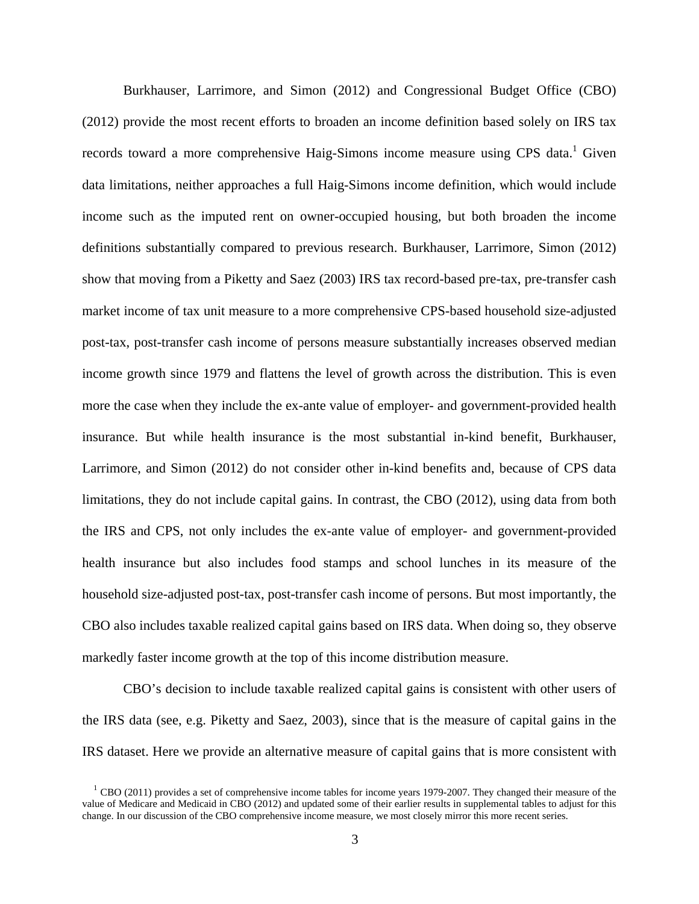Burkhauser, Larrimore, and Simon (2012) and Congressional Budget Office (CBO) (2012) provide the most recent efforts to broaden an income definition based solely on IRS tax records toward a more comprehensive Haig-Simons income measure using CPS data.<sup>1</sup> Given data limitations, neither approaches a full Haig-Simons income definition, which would include income such as the imputed rent on owner-occupied housing, but both broaden the income definitions substantially compared to previous research. Burkhauser, Larrimore, Simon (2012) show that moving from a Piketty and Saez (2003) IRS tax record-based pre-tax, pre-transfer cash market income of tax unit measure to a more comprehensive CPS-based household size-adjusted post-tax, post-transfer cash income of persons measure substantially increases observed median income growth since 1979 and flattens the level of growth across the distribution. This is even more the case when they include the ex-ante value of employer- and government-provided health insurance. But while health insurance is the most substantial in-kind benefit, Burkhauser, Larrimore, and Simon (2012) do not consider other in-kind benefits and, because of CPS data limitations, they do not include capital gains. In contrast, the CBO (2012), using data from both the IRS and CPS, not only includes the ex-ante value of employer- and government-provided health insurance but also includes food stamps and school lunches in its measure of the household size-adjusted post-tax, post-transfer cash income of persons. But most importantly, the CBO also includes taxable realized capital gains based on IRS data. When doing so, they observe markedly faster income growth at the top of this income distribution measure.

CBO's decision to include taxable realized capital gains is consistent with other users of the IRS data (see, e.g. Piketty and Saez, 2003), since that is the measure of capital gains in the IRS dataset. Here we provide an alternative measure of capital gains that is more consistent with

 $<sup>1</sup>$  CBO (2011) provides a set of comprehensive income tables for income years 1979-2007. They changed their measure of the</sup> value of Medicare and Medicaid in CBO (2012) and updated some of their earlier results in supplemental tables to adjust for this change. In our discussion of the CBO comprehensive income measure, we most closely mirror this more recent series.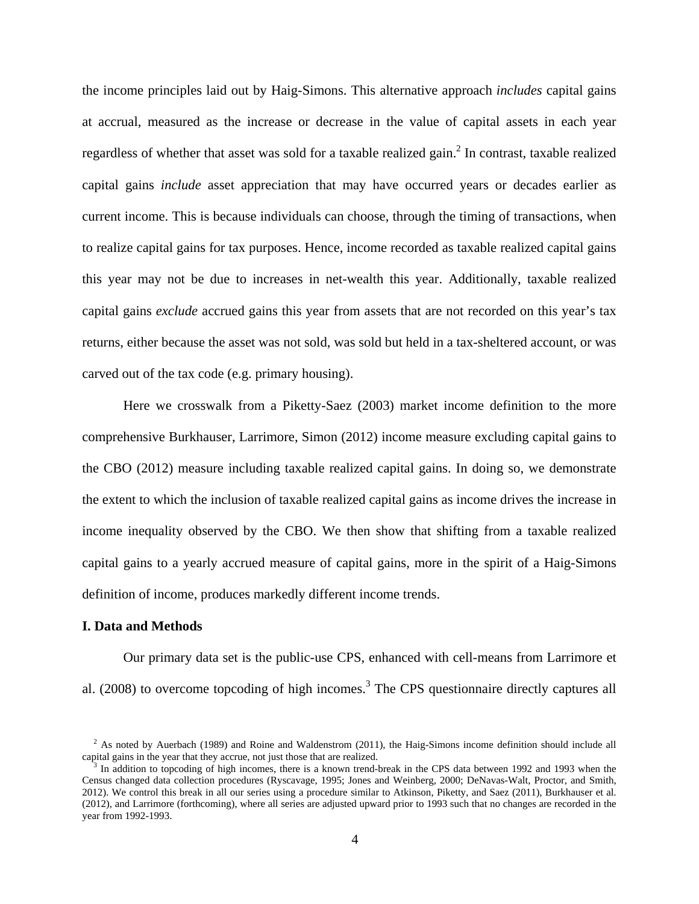the income principles laid out by Haig-Simons. This alternative approach *includes* capital gains at accrual, measured as the increase or decrease in the value of capital assets in each year regardless of whether that asset was sold for a taxable realized gain.<sup>2</sup> In contrast, taxable realized capital gains *include* asset appreciation that may have occurred years or decades earlier as current income. This is because individuals can choose, through the timing of transactions, when to realize capital gains for tax purposes. Hence, income recorded as taxable realized capital gains this year may not be due to increases in net-wealth this year. Additionally, taxable realized capital gains *exclude* accrued gains this year from assets that are not recorded on this year's tax returns, either because the asset was not sold, was sold but held in a tax-sheltered account, or was carved out of the tax code (e.g. primary housing).

Here we crosswalk from a Piketty-Saez (2003) market income definition to the more comprehensive Burkhauser, Larrimore, Simon (2012) income measure excluding capital gains to the CBO (2012) measure including taxable realized capital gains. In doing so, we demonstrate the extent to which the inclusion of taxable realized capital gains as income drives the increase in income inequality observed by the CBO. We then show that shifting from a taxable realized capital gains to a yearly accrued measure of capital gains, more in the spirit of a Haig-Simons definition of income, produces markedly different income trends.

#### **I. Data and Methods**

Our primary data set is the public-use CPS, enhanced with cell-means from Larrimore et al.  $(2008)$  to overcome topcoding of high incomes.<sup>3</sup> The CPS questionnaire directly captures all

 $2^2$  As noted by Auerbach (1989) and Roine and Waldenstrom (2011), the Haig-Simons income definition should include all capital gains in the year that they accrue, not just those that are realized.

 $3$  In addition to topcoding of high incomes, there is a known trend-break in the CPS data between 1992 and 1993 when the Census changed data collection procedures (Ryscavage, 1995; Jones and Weinberg, 2000; DeNavas-Walt, Proctor, and Smith, 2012). We control this break in all our series using a procedure similar to Atkinson, Piketty, and Saez (2011), Burkhauser et al. (2012), and Larrimore (forthcoming), where all series are adjusted upward prior to 1993 such that no changes are recorded in the year from 1992-1993.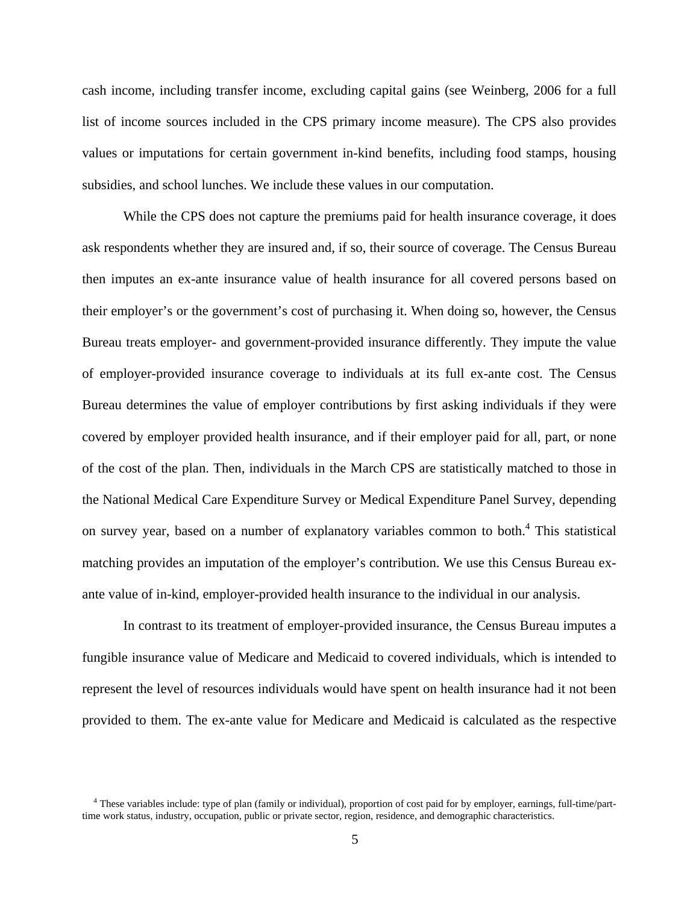cash income, including transfer income, excluding capital gains (see Weinberg, 2006 for a full list of income sources included in the CPS primary income measure). The CPS also provides values or imputations for certain government in-kind benefits, including food stamps, housing subsidies, and school lunches. We include these values in our computation.

While the CPS does not capture the premiums paid for health insurance coverage, it does ask respondents whether they are insured and, if so, their source of coverage. The Census Bureau then imputes an ex-ante insurance value of health insurance for all covered persons based on their employer's or the government's cost of purchasing it. When doing so, however, the Census Bureau treats employer- and government-provided insurance differently. They impute the value of employer-provided insurance coverage to individuals at its full ex-ante cost. The Census Bureau determines the value of employer contributions by first asking individuals if they were covered by employer provided health insurance, and if their employer paid for all, part, or none of the cost of the plan. Then, individuals in the March CPS are statistically matched to those in the National Medical Care Expenditure Survey or Medical Expenditure Panel Survey, depending on survey year, based on a number of explanatory variables common to both. $4$  This statistical matching provides an imputation of the employer's contribution. We use this Census Bureau exante value of in-kind, employer-provided health insurance to the individual in our analysis.

In contrast to its treatment of employer-provided insurance, the Census Bureau imputes a fungible insurance value of Medicare and Medicaid to covered individuals, which is intended to represent the level of resources individuals would have spent on health insurance had it not been provided to them. The ex-ante value for Medicare and Medicaid is calculated as the respective

<sup>&</sup>lt;sup>4</sup> These variables include: type of plan (family or individual), proportion of cost paid for by employer, earnings, full-time/parttime work status, industry, occupation, public or private sector, region, residence, and demographic characteristics.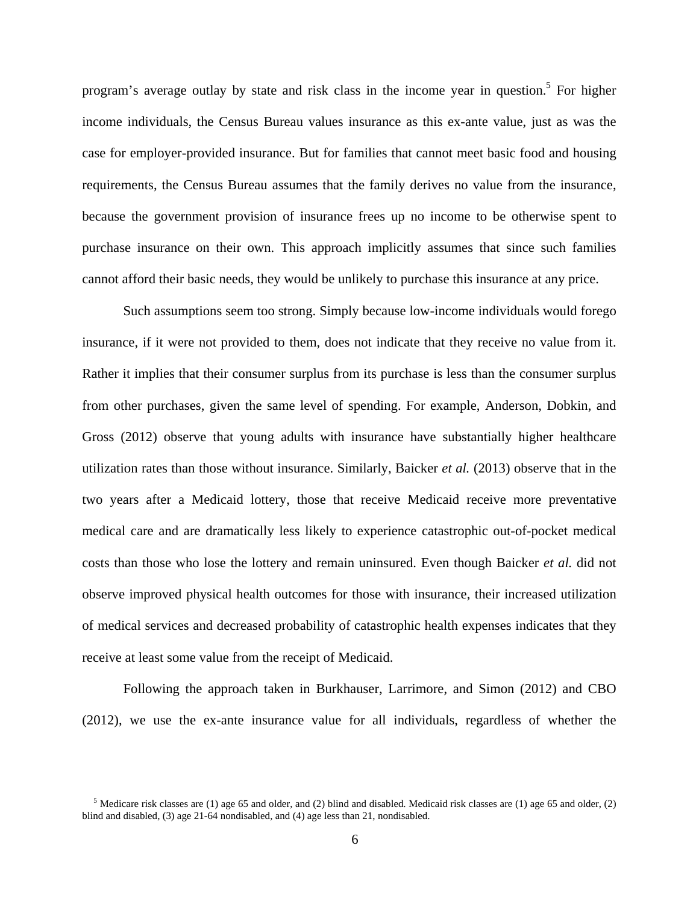program's average outlay by state and risk class in the income year in question.<sup>5</sup> For higher income individuals, the Census Bureau values insurance as this ex-ante value, just as was the case for employer-provided insurance. But for families that cannot meet basic food and housing requirements, the Census Bureau assumes that the family derives no value from the insurance, because the government provision of insurance frees up no income to be otherwise spent to purchase insurance on their own. This approach implicitly assumes that since such families cannot afford their basic needs, they would be unlikely to purchase this insurance at any price.

Such assumptions seem too strong. Simply because low-income individuals would forego insurance, if it were not provided to them, does not indicate that they receive no value from it. Rather it implies that their consumer surplus from its purchase is less than the consumer surplus from other purchases, given the same level of spending. For example, Anderson, Dobkin, and Gross (2012) observe that young adults with insurance have substantially higher healthcare utilization rates than those without insurance. Similarly, Baicker *et al.* (2013) observe that in the two years after a Medicaid lottery, those that receive Medicaid receive more preventative medical care and are dramatically less likely to experience catastrophic out-of-pocket medical costs than those who lose the lottery and remain uninsured. Even though Baicker *et al.* did not observe improved physical health outcomes for those with insurance, their increased utilization of medical services and decreased probability of catastrophic health expenses indicates that they receive at least some value from the receipt of Medicaid.

Following the approach taken in Burkhauser, Larrimore, and Simon (2012) and CBO (2012), we use the ex-ante insurance value for all individuals, regardless of whether the

<sup>&</sup>lt;sup>5</sup> Medicare risk classes are (1) age 65 and older, and (2) blind and disabled. Medicaid risk classes are (1) age 65 and older, (2) blind and disabled, (3) age 21-64 nondisabled, and (4) age less than 21, nondisabled.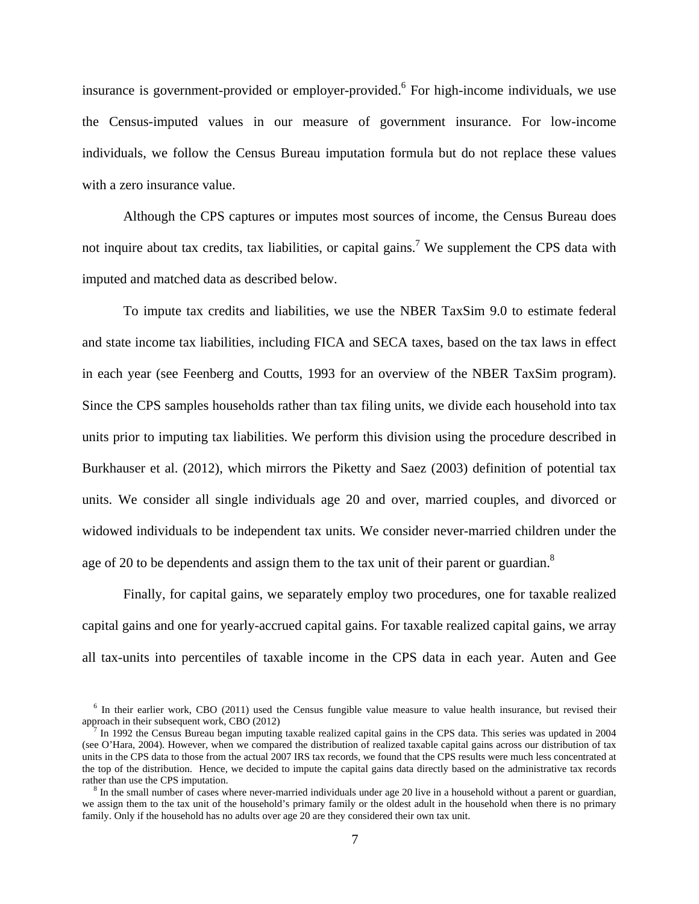insurance is government-provided or employer-provided.<sup>6</sup> For high-income individuals, we use the Census-imputed values in our measure of government insurance. For low-income individuals, we follow the Census Bureau imputation formula but do not replace these values with a zero insurance value.

Although the CPS captures or imputes most sources of income, the Census Bureau does not inquire about tax credits, tax liabilities, or capital gains.<sup>7</sup> We supplement the CPS data with imputed and matched data as described below.

To impute tax credits and liabilities, we use the NBER TaxSim 9.0 to estimate federal and state income tax liabilities, including FICA and SECA taxes, based on the tax laws in effect in each year (see Feenberg and Coutts, 1993 for an overview of the NBER TaxSim program). Since the CPS samples households rather than tax filing units, we divide each household into tax units prior to imputing tax liabilities. We perform this division using the procedure described in Burkhauser et al. (2012), which mirrors the Piketty and Saez (2003) definition of potential tax units. We consider all single individuals age 20 and over, married couples, and divorced or widowed individuals to be independent tax units. We consider never-married children under the age of 20 to be dependents and assign them to the tax unit of their parent or guardian. $8$ 

Finally, for capital gains, we separately employ two procedures, one for taxable realized capital gains and one for yearly-accrued capital gains. For taxable realized capital gains, we array all tax-units into percentiles of taxable income in the CPS data in each year. Auten and Gee

<sup>&</sup>lt;sup>6</sup> In their earlier work, CBO (2011) used the Census fungible value measure to value health insurance, but revised their approach in their subsequent work, CBO (2012)

In 1992 the Census Bureau began imputing taxable realized capital gains in the CPS data. This series was updated in 2004 (see O'Hara, 2004). However, when we compared the distribution of realized taxable capital gains across our distribution of tax units in the CPS data to those from the actual 2007 IRS tax records, we found that the CPS results were much less concentrated at the top of the distribution. Hence, we decided to impute the capital gains data directly based on the administrative tax records rather than use the CPS imputation.

 ${}^8$  In the small number of cases where never-married individuals under age 20 live in a household without a parent or guardian, we assign them to the tax unit of the household's primary family or the oldest adult in the household when there is no primary family. Only if the household has no adults over age 20 are they considered their own tax unit.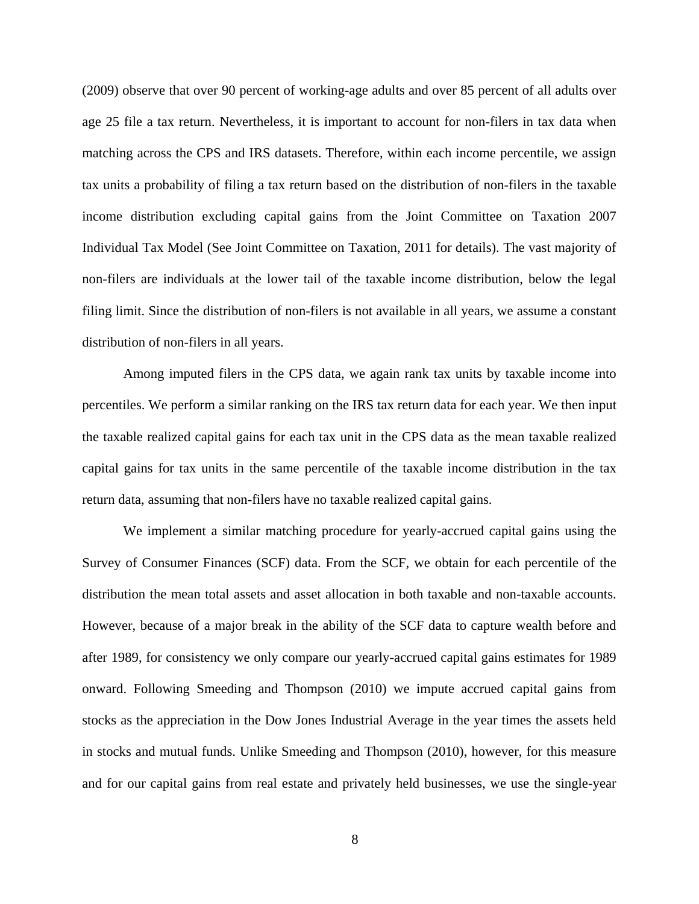(2009) observe that over 90 percent of working-age adults and over 85 percent of all adults over age 25 file a tax return. Nevertheless, it is important to account for non-filers in tax data when matching across the CPS and IRS datasets. Therefore, within each income percentile, we assign tax units a probability of filing a tax return based on the distribution of non-filers in the taxable income distribution excluding capital gains from the Joint Committee on Taxation 2007 Individual Tax Model (See Joint Committee on Taxation, 2011 for details). The vast majority of non-filers are individuals at the lower tail of the taxable income distribution, below the legal filing limit. Since the distribution of non-filers is not available in all years, we assume a constant distribution of non-filers in all years.

Among imputed filers in the CPS data, we again rank tax units by taxable income into percentiles. We perform a similar ranking on the IRS tax return data for each year. We then input the taxable realized capital gains for each tax unit in the CPS data as the mean taxable realized capital gains for tax units in the same percentile of the taxable income distribution in the tax return data, assuming that non-filers have no taxable realized capital gains.

We implement a similar matching procedure for yearly-accrued capital gains using the Survey of Consumer Finances (SCF) data. From the SCF, we obtain for each percentile of the distribution the mean total assets and asset allocation in both taxable and non-taxable accounts. However, because of a major break in the ability of the SCF data to capture wealth before and after 1989, for consistency we only compare our yearly-accrued capital gains estimates for 1989 onward. Following Smeeding and Thompson (2010) we impute accrued capital gains from stocks as the appreciation in the Dow Jones Industrial Average in the year times the assets held in stocks and mutual funds. Unlike Smeeding and Thompson (2010), however, for this measure and for our capital gains from real estate and privately held businesses, we use the single-year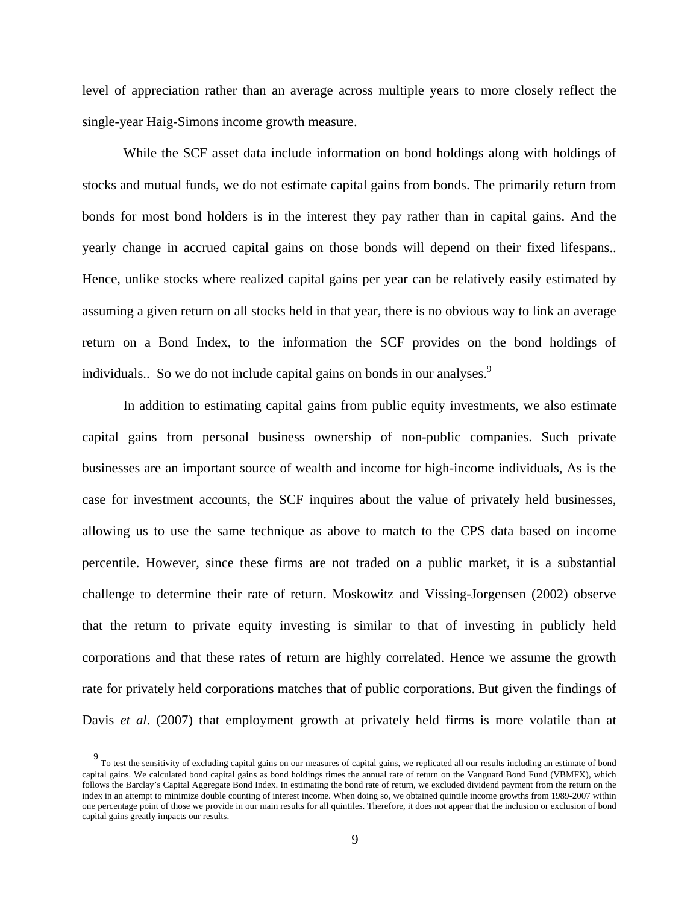level of appreciation rather than an average across multiple years to more closely reflect the single-year Haig-Simons income growth measure.

While the SCF asset data include information on bond holdings along with holdings of stocks and mutual funds, we do not estimate capital gains from bonds. The primarily return from bonds for most bond holders is in the interest they pay rather than in capital gains. And the yearly change in accrued capital gains on those bonds will depend on their fixed lifespans.. Hence, unlike stocks where realized capital gains per year can be relatively easily estimated by assuming a given return on all stocks held in that year, there is no obvious way to link an average return on a Bond Index, to the information the SCF provides on the bond holdings of individuals.. So we do not include capital gains on bonds in our analyses.<sup>9</sup>

In addition to estimating capital gains from public equity investments, we also estimate capital gains from personal business ownership of non-public companies. Such private businesses are an important source of wealth and income for high-income individuals, As is the case for investment accounts, the SCF inquires about the value of privately held businesses, allowing us to use the same technique as above to match to the CPS data based on income percentile. However, since these firms are not traded on a public market, it is a substantial challenge to determine their rate of return. Moskowitz and Vissing-Jorgensen (2002) observe that the return to private equity investing is similar to that of investing in publicly held corporations and that these rates of return are highly correlated. Hence we assume the growth rate for privately held corporations matches that of public corporations. But given the findings of Davis *et al*. (2007) that employment growth at privately held firms is more volatile than at

<sup>9</sup> To test the sensitivity of excluding capital gains on our measures of capital gains, we replicated all our results including an estimate of bond capital gains. We calculated bond capital gains as bond holdings times the annual rate of return on the Vanguard Bond Fund (VBMFX), which follows the Barclay's Capital Aggregate Bond Index. In estimating the bond rate of return, we excluded dividend payment from the return on the index in an attempt to minimize double counting of interest income. When doing so, we obtained quintile income growths from 1989-2007 within one percentage point of those we provide in our main results for all quintiles. Therefore, it does not appear that the inclusion or exclusion of bond capital gains greatly impacts our results.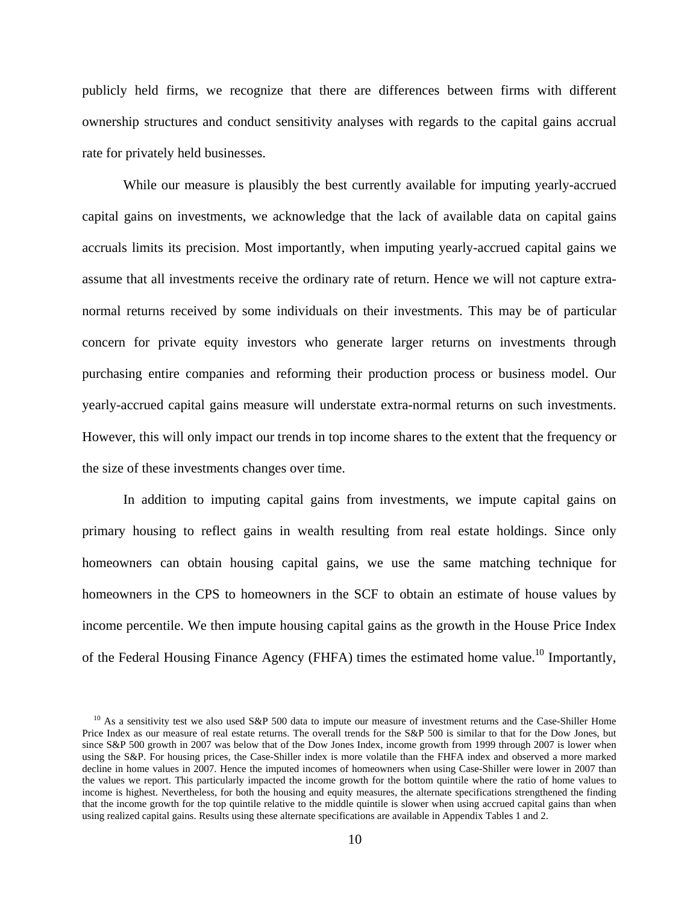publicly held firms, we recognize that there are differences between firms with different ownership structures and conduct sensitivity analyses with regards to the capital gains accrual rate for privately held businesses.

While our measure is plausibly the best currently available for imputing yearly-accrued capital gains on investments, we acknowledge that the lack of available data on capital gains accruals limits its precision. Most importantly, when imputing yearly-accrued capital gains we assume that all investments receive the ordinary rate of return. Hence we will not capture extranormal returns received by some individuals on their investments. This may be of particular concern for private equity investors who generate larger returns on investments through purchasing entire companies and reforming their production process or business model. Our yearly-accrued capital gains measure will understate extra-normal returns on such investments. However, this will only impact our trends in top income shares to the extent that the frequency or the size of these investments changes over time.

In addition to imputing capital gains from investments, we impute capital gains on primary housing to reflect gains in wealth resulting from real estate holdings. Since only homeowners can obtain housing capital gains, we use the same matching technique for homeowners in the CPS to homeowners in the SCF to obtain an estimate of house values by income percentile. We then impute housing capital gains as the growth in the House Price Index of the Federal Housing Finance Agency (FHFA) times the estimated home value.<sup>10</sup> Importantly,

 $10$  As a sensitivity test we also used S&P 500 data to impute our measure of investment returns and the Case-Shiller Home Price Index as our measure of real estate returns. The overall trends for the S&P 500 is similar to that for the Dow Jones, but since S&P 500 growth in 2007 was below that of the Dow Jones Index, income growth from 1999 through 2007 is lower when using the S&P. For housing prices, the Case-Shiller index is more volatile than the FHFA index and observed a more marked decline in home values in 2007. Hence the imputed incomes of homeowners when using Case-Shiller were lower in 2007 than the values we report. This particularly impacted the income growth for the bottom quintile where the ratio of home values to income is highest. Nevertheless, for both the housing and equity measures, the alternate specifications strengthened the finding that the income growth for the top quintile relative to the middle quintile is slower when using accrued capital gains than when using realized capital gains. Results using these alternate specifications are available in Appendix Tables 1 and 2.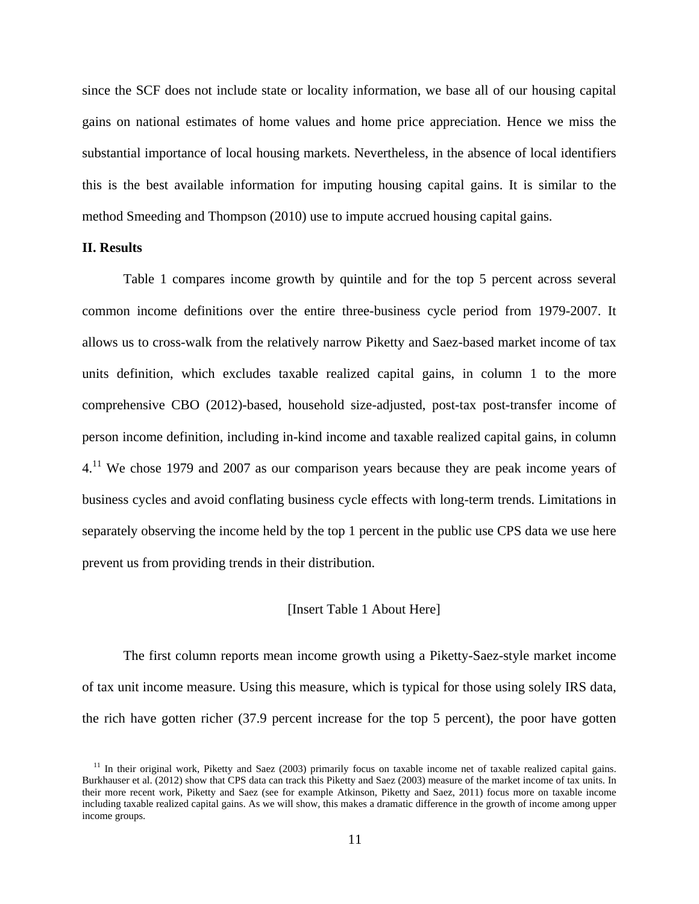since the SCF does not include state or locality information, we base all of our housing capital gains on national estimates of home values and home price appreciation. Hence we miss the substantial importance of local housing markets. Nevertheless, in the absence of local identifiers this is the best available information for imputing housing capital gains. It is similar to the method Smeeding and Thompson (2010) use to impute accrued housing capital gains.

## **II. Results**

Table 1 compares income growth by quintile and for the top 5 percent across several common income definitions over the entire three-business cycle period from 1979-2007. It allows us to cross-walk from the relatively narrow Piketty and Saez-based market income of tax units definition, which excludes taxable realized capital gains, in column 1 to the more comprehensive CBO (2012)-based, household size-adjusted, post-tax post-transfer income of person income definition, including in-kind income and taxable realized capital gains, in column  $4<sup>11</sup>$  We chose 1979 and 2007 as our comparison years because they are peak income years of business cycles and avoid conflating business cycle effects with long-term trends. Limitations in separately observing the income held by the top 1 percent in the public use CPS data we use here prevent us from providing trends in their distribution.

## [Insert Table 1 About Here]

The first column reports mean income growth using a Piketty-Saez-style market income of tax unit income measure. Using this measure, which is typical for those using solely IRS data, the rich have gotten richer (37.9 percent increase for the top 5 percent), the poor have gotten

 $11$  In their original work, Piketty and Saez (2003) primarily focus on taxable income net of taxable realized capital gains. Burkhauser et al. (2012) show that CPS data can track this Piketty and Saez (2003) measure of the market income of tax units. In their more recent work, Piketty and Saez (see for example Atkinson, Piketty and Saez, 2011) focus more on taxable income including taxable realized capital gains. As we will show, this makes a dramatic difference in the growth of income among upper income groups.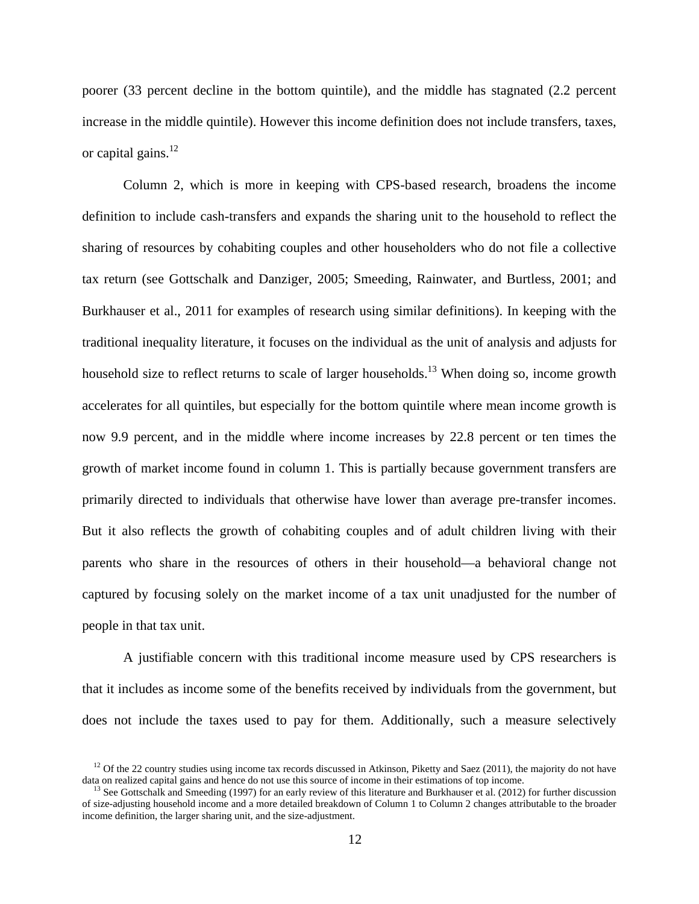poorer (33 percent decline in the bottom quintile), and the middle has stagnated (2.2 percent increase in the middle quintile). However this income definition does not include transfers, taxes, or capital gains. $^{12}$ 

Column 2, which is more in keeping with CPS-based research, broadens the income definition to include cash-transfers and expands the sharing unit to the household to reflect the sharing of resources by cohabiting couples and other householders who do not file a collective tax return (see Gottschalk and Danziger, 2005; Smeeding, Rainwater, and Burtless, 2001; and Burkhauser et al., 2011 for examples of research using similar definitions). In keeping with the traditional inequality literature, it focuses on the individual as the unit of analysis and adjusts for household size to reflect returns to scale of larger households.<sup>13</sup> When doing so, income growth accelerates for all quintiles, but especially for the bottom quintile where mean income growth is now 9.9 percent, and in the middle where income increases by 22.8 percent or ten times the growth of market income found in column 1. This is partially because government transfers are primarily directed to individuals that otherwise have lower than average pre-transfer incomes. But it also reflects the growth of cohabiting couples and of adult children living with their parents who share in the resources of others in their household—a behavioral change not captured by focusing solely on the market income of a tax unit unadjusted for the number of people in that tax unit.

A justifiable concern with this traditional income measure used by CPS researchers is that it includes as income some of the benefits received by individuals from the government, but does not include the taxes used to pay for them. Additionally, such a measure selectively

<sup>&</sup>lt;sup>12</sup> Of the 22 country studies using income tax records discussed in Atkinson. Piketty and Saez (2011), the majority do not have data on realized capital gains and hence do not use this source of income in their estimations of top income.<br><sup>13</sup> See Gottschalk and Smeeding (1997) for an early review of this literature and Burkhauser et al. (2012) for

of size-adjusting household income and a more detailed breakdown of Column 1 to Column 2 changes attributable to the broader income definition, the larger sharing unit, and the size-adjustment.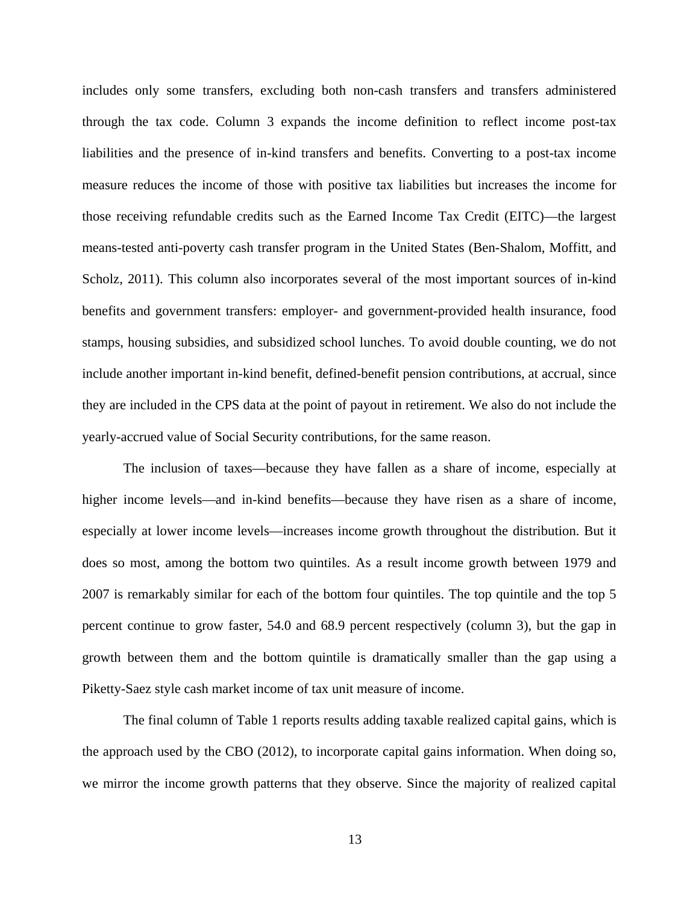includes only some transfers, excluding both non-cash transfers and transfers administered through the tax code. Column 3 expands the income definition to reflect income post-tax liabilities and the presence of in-kind transfers and benefits. Converting to a post-tax income measure reduces the income of those with positive tax liabilities but increases the income for those receiving refundable credits such as the Earned Income Tax Credit (EITC)—the largest means-tested anti-poverty cash transfer program in the United States (Ben-Shalom, Moffitt, and Scholz, 2011). This column also incorporates several of the most important sources of in-kind benefits and government transfers: employer- and government-provided health insurance, food stamps, housing subsidies, and subsidized school lunches. To avoid double counting, we do not include another important in-kind benefit, defined-benefit pension contributions, at accrual, since they are included in the CPS data at the point of payout in retirement. We also do not include the yearly-accrued value of Social Security contributions, for the same reason.

The inclusion of taxes—because they have fallen as a share of income, especially at higher income levels—and in-kind benefits—because they have risen as a share of income, especially at lower income levels—increases income growth throughout the distribution. But it does so most, among the bottom two quintiles. As a result income growth between 1979 and 2007 is remarkably similar for each of the bottom four quintiles. The top quintile and the top 5 percent continue to grow faster, 54.0 and 68.9 percent respectively (column 3), but the gap in growth between them and the bottom quintile is dramatically smaller than the gap using a Piketty-Saez style cash market income of tax unit measure of income.

The final column of Table 1 reports results adding taxable realized capital gains, which is the approach used by the CBO (2012), to incorporate capital gains information. When doing so, we mirror the income growth patterns that they observe. Since the majority of realized capital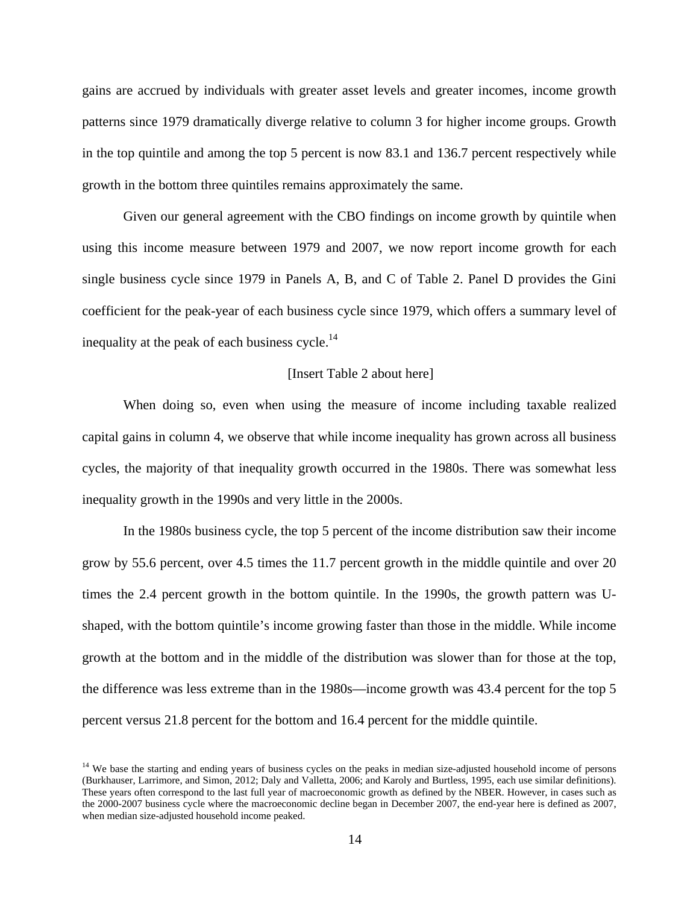gains are accrued by individuals with greater asset levels and greater incomes, income growth patterns since 1979 dramatically diverge relative to column 3 for higher income groups. Growth in the top quintile and among the top 5 percent is now 83.1 and 136.7 percent respectively while growth in the bottom three quintiles remains approximately the same.

Given our general agreement with the CBO findings on income growth by quintile when using this income measure between 1979 and 2007, we now report income growth for each single business cycle since 1979 in Panels A, B, and C of Table 2. Panel D provides the Gini coefficient for the peak-year of each business cycle since 1979, which offers a summary level of inequality at the peak of each business cycle.<sup>14</sup>

#### [Insert Table 2 about here]

When doing so, even when using the measure of income including taxable realized capital gains in column 4, we observe that while income inequality has grown across all business cycles, the majority of that inequality growth occurred in the 1980s. There was somewhat less inequality growth in the 1990s and very little in the 2000s.

In the 1980s business cycle, the top 5 percent of the income distribution saw their income grow by 55.6 percent, over 4.5 times the 11.7 percent growth in the middle quintile and over 20 times the 2.4 percent growth in the bottom quintile. In the 1990s, the growth pattern was Ushaped, with the bottom quintile's income growing faster than those in the middle. While income growth at the bottom and in the middle of the distribution was slower than for those at the top, the difference was less extreme than in the 1980s—income growth was 43.4 percent for the top 5 percent versus 21.8 percent for the bottom and 16.4 percent for the middle quintile.

<sup>&</sup>lt;sup>14</sup> We base the starting and ending years of business cycles on the peaks in median size-adjusted household income of persons (Burkhauser, Larrimore, and Simon, 2012; Daly and Valletta, 2006; and Karoly and Burtless, 1995, each use similar definitions). These years often correspond to the last full year of macroeconomic growth as defined by the NBER. However, in cases such as the 2000-2007 business cycle where the macroeconomic decline began in December 2007, the end-year here is defined as 2007, when median size-adjusted household income peaked.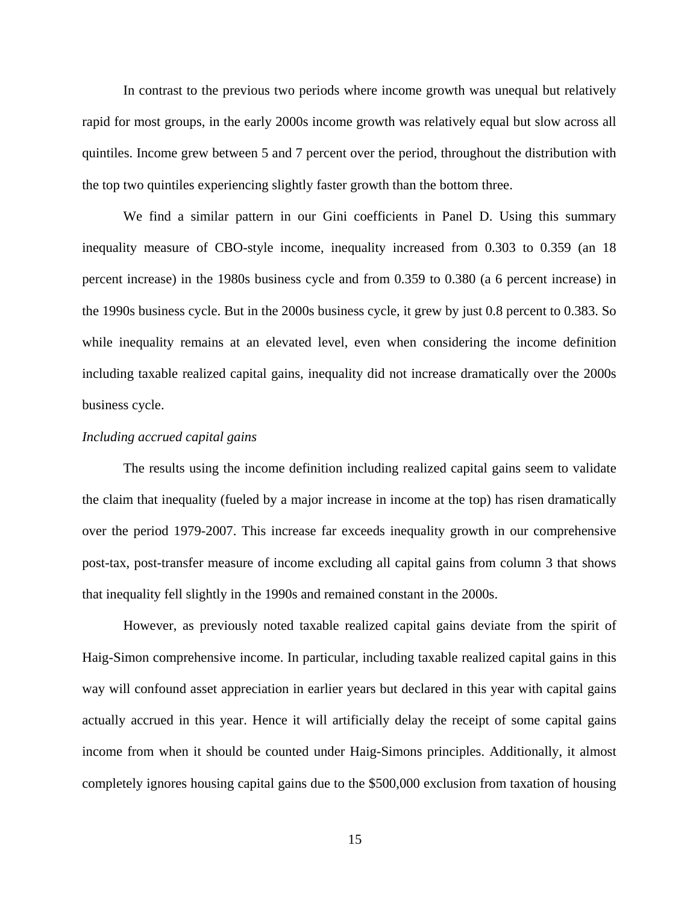In contrast to the previous two periods where income growth was unequal but relatively rapid for most groups, in the early 2000s income growth was relatively equal but slow across all quintiles. Income grew between 5 and 7 percent over the period, throughout the distribution with the top two quintiles experiencing slightly faster growth than the bottom three.

We find a similar pattern in our Gini coefficients in Panel D. Using this summary inequality measure of CBO-style income, inequality increased from 0.303 to 0.359 (an 18 percent increase) in the 1980s business cycle and from 0.359 to 0.380 (a 6 percent increase) in the 1990s business cycle. But in the 2000s business cycle, it grew by just 0.8 percent to 0.383. So while inequality remains at an elevated level, even when considering the income definition including taxable realized capital gains, inequality did not increase dramatically over the 2000s business cycle.

#### *Including accrued capital gains*

The results using the income definition including realized capital gains seem to validate the claim that inequality (fueled by a major increase in income at the top) has risen dramatically over the period 1979-2007. This increase far exceeds inequality growth in our comprehensive post-tax, post-transfer measure of income excluding all capital gains from column 3 that shows that inequality fell slightly in the 1990s and remained constant in the 2000s.

However, as previously noted taxable realized capital gains deviate from the spirit of Haig-Simon comprehensive income. In particular, including taxable realized capital gains in this way will confound asset appreciation in earlier years but declared in this year with capital gains actually accrued in this year. Hence it will artificially delay the receipt of some capital gains income from when it should be counted under Haig-Simons principles. Additionally, it almost completely ignores housing capital gains due to the \$500,000 exclusion from taxation of housing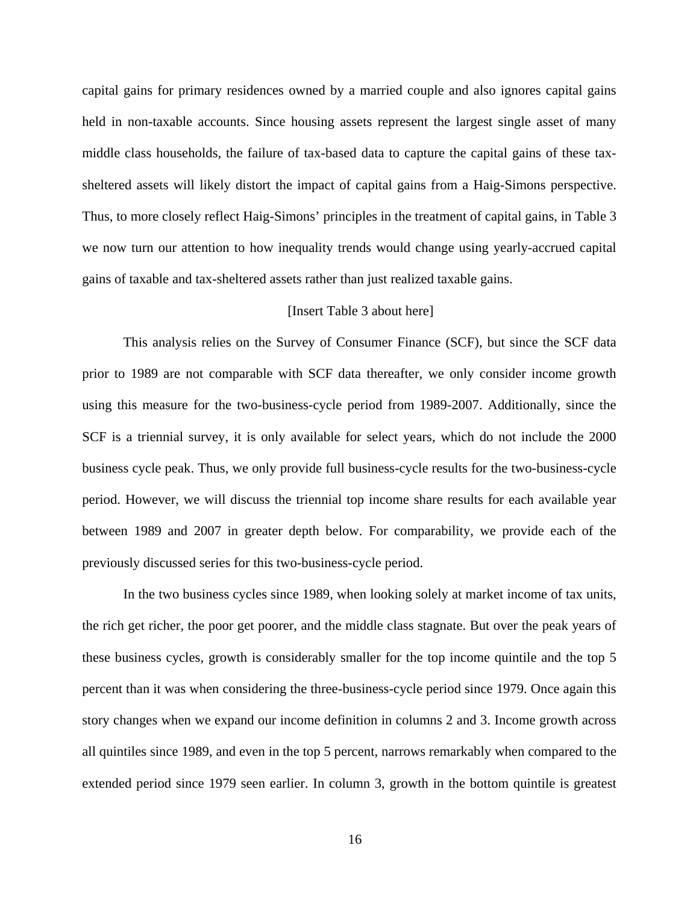capital gains for primary residences owned by a married couple and also ignores capital gains held in non-taxable accounts. Since housing assets represent the largest single asset of many middle class households, the failure of tax-based data to capture the capital gains of these taxsheltered assets will likely distort the impact of capital gains from a Haig-Simons perspective. Thus, to more closely reflect Haig-Simons' principles in the treatment of capital gains, in Table 3 we now turn our attention to how inequality trends would change using yearly-accrued capital gains of taxable and tax-sheltered assets rather than just realized taxable gains.

#### [Insert Table 3 about here]

This analysis relies on the Survey of Consumer Finance (SCF), but since the SCF data prior to 1989 are not comparable with SCF data thereafter, we only consider income growth using this measure for the two-business-cycle period from 1989-2007. Additionally, since the SCF is a triennial survey, it is only available for select years, which do not include the 2000 business cycle peak. Thus, we only provide full business-cycle results for the two-business-cycle period. However, we will discuss the triennial top income share results for each available year between 1989 and 2007 in greater depth below. For comparability, we provide each of the previously discussed series for this two-business-cycle period.

In the two business cycles since 1989, when looking solely at market income of tax units, the rich get richer, the poor get poorer, and the middle class stagnate. But over the peak years of these business cycles, growth is considerably smaller for the top income quintile and the top 5 percent than it was when considering the three-business-cycle period since 1979. Once again this story changes when we expand our income definition in columns 2 and 3. Income growth across all quintiles since 1989, and even in the top 5 percent, narrows remarkably when compared to the extended period since 1979 seen earlier. In column 3, growth in the bottom quintile is greatest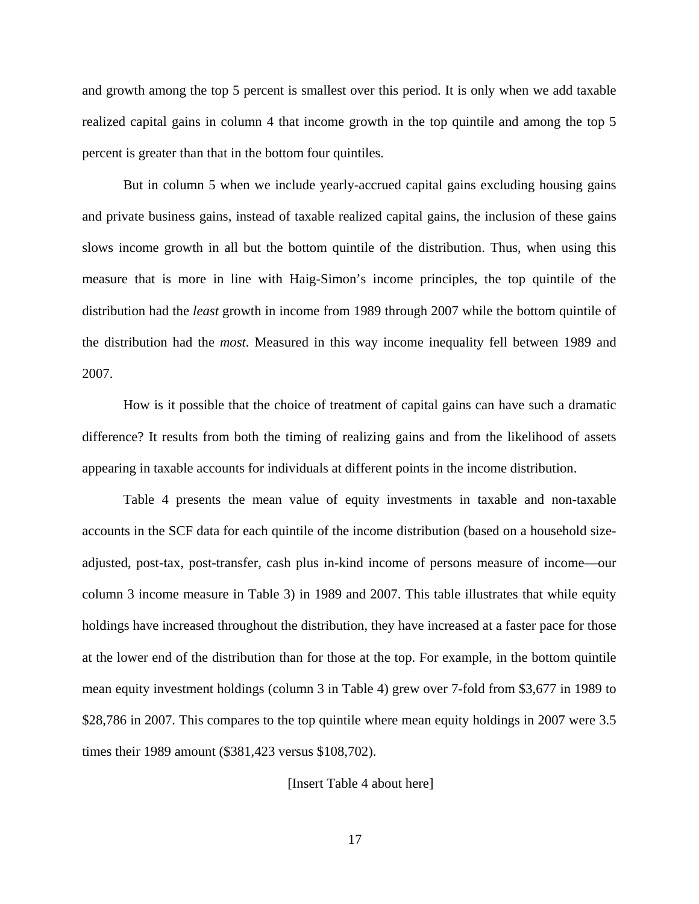and growth among the top 5 percent is smallest over this period. It is only when we add taxable realized capital gains in column 4 that income growth in the top quintile and among the top 5 percent is greater than that in the bottom four quintiles.

But in column 5 when we include yearly-accrued capital gains excluding housing gains and private business gains, instead of taxable realized capital gains, the inclusion of these gains slows income growth in all but the bottom quintile of the distribution. Thus, when using this measure that is more in line with Haig-Simon's income principles, the top quintile of the distribution had the *least* growth in income from 1989 through 2007 while the bottom quintile of the distribution had the *most*. Measured in this way income inequality fell between 1989 and 2007.

How is it possible that the choice of treatment of capital gains can have such a dramatic difference? It results from both the timing of realizing gains and from the likelihood of assets appearing in taxable accounts for individuals at different points in the income distribution.

Table 4 presents the mean value of equity investments in taxable and non-taxable accounts in the SCF data for each quintile of the income distribution (based on a household sizeadjusted, post-tax, post-transfer, cash plus in-kind income of persons measure of income—our column 3 income measure in Table 3) in 1989 and 2007. This table illustrates that while equity holdings have increased throughout the distribution, they have increased at a faster pace for those at the lower end of the distribution than for those at the top. For example, in the bottom quintile mean equity investment holdings (column 3 in Table 4) grew over 7-fold from \$3,677 in 1989 to \$28,786 in 2007. This compares to the top quintile where mean equity holdings in 2007 were 3.5 times their 1989 amount (\$381,423 versus \$108,702).

[Insert Table 4 about here]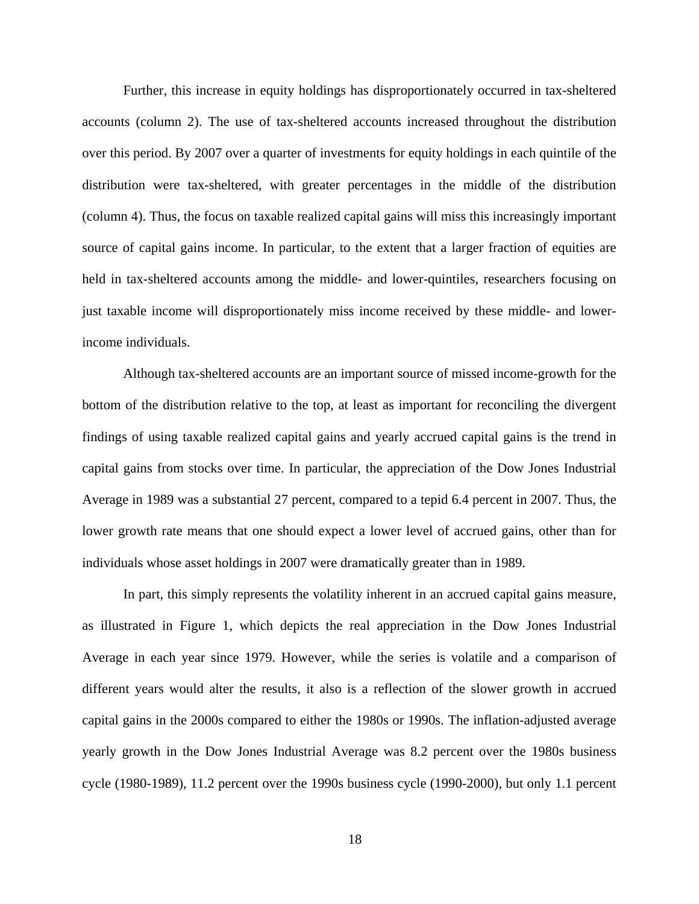Further, this increase in equity holdings has disproportionately occurred in tax-sheltered accounts (column 2). The use of tax-sheltered accounts increased throughout the distribution over this period. By 2007 over a quarter of investments for equity holdings in each quintile of the distribution were tax-sheltered, with greater percentages in the middle of the distribution (column 4). Thus, the focus on taxable realized capital gains will miss this increasingly important source of capital gains income. In particular, to the extent that a larger fraction of equities are held in tax-sheltered accounts among the middle- and lower-quintiles, researchers focusing on just taxable income will disproportionately miss income received by these middle- and lowerincome individuals.

Although tax-sheltered accounts are an important source of missed income-growth for the bottom of the distribution relative to the top, at least as important for reconciling the divergent findings of using taxable realized capital gains and yearly accrued capital gains is the trend in capital gains from stocks over time. In particular, the appreciation of the Dow Jones Industrial Average in 1989 was a substantial 27 percent, compared to a tepid 6.4 percent in 2007. Thus, the lower growth rate means that one should expect a lower level of accrued gains, other than for individuals whose asset holdings in 2007 were dramatically greater than in 1989.

In part, this simply represents the volatility inherent in an accrued capital gains measure, as illustrated in Figure 1, which depicts the real appreciation in the Dow Jones Industrial Average in each year since 1979. However, while the series is volatile and a comparison of different years would alter the results, it also is a reflection of the slower growth in accrued capital gains in the 2000s compared to either the 1980s or 1990s. The inflation-adjusted average yearly growth in the Dow Jones Industrial Average was 8.2 percent over the 1980s business cycle (1980-1989), 11.2 percent over the 1990s business cycle (1990-2000), but only 1.1 percent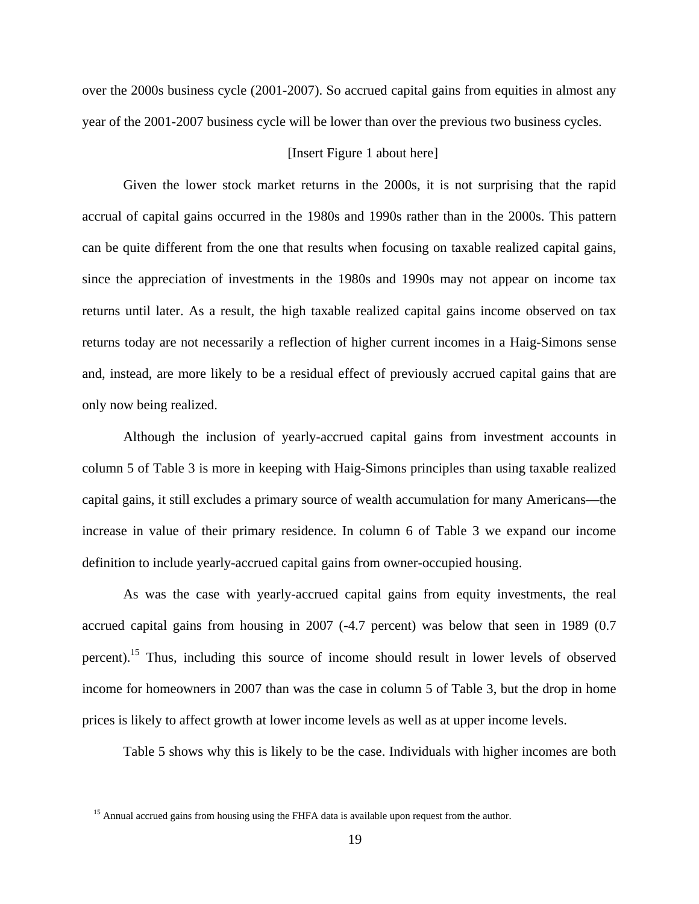over the 2000s business cycle (2001-2007). So accrued capital gains from equities in almost any year of the 2001-2007 business cycle will be lower than over the previous two business cycles.

## [Insert Figure 1 about here]

Given the lower stock market returns in the 2000s, it is not surprising that the rapid accrual of capital gains occurred in the 1980s and 1990s rather than in the 2000s. This pattern can be quite different from the one that results when focusing on taxable realized capital gains, since the appreciation of investments in the 1980s and 1990s may not appear on income tax returns until later. As a result, the high taxable realized capital gains income observed on tax returns today are not necessarily a reflection of higher current incomes in a Haig-Simons sense and, instead, are more likely to be a residual effect of previously accrued capital gains that are only now being realized.

Although the inclusion of yearly-accrued capital gains from investment accounts in column 5 of Table 3 is more in keeping with Haig-Simons principles than using taxable realized capital gains, it still excludes a primary source of wealth accumulation for many Americans—the increase in value of their primary residence. In column 6 of Table 3 we expand our income definition to include yearly-accrued capital gains from owner-occupied housing.

As was the case with yearly-accrued capital gains from equity investments, the real accrued capital gains from housing in 2007 (-4.7 percent) was below that seen in 1989 (0.7 percent).15 Thus, including this source of income should result in lower levels of observed income for homeowners in 2007 than was the case in column 5 of Table 3, but the drop in home prices is likely to affect growth at lower income levels as well as at upper income levels.

Table 5 shows why this is likely to be the case. Individuals with higher incomes are both

<sup>&</sup>lt;sup>15</sup> Annual accrued gains from housing using the FHFA data is available upon request from the author.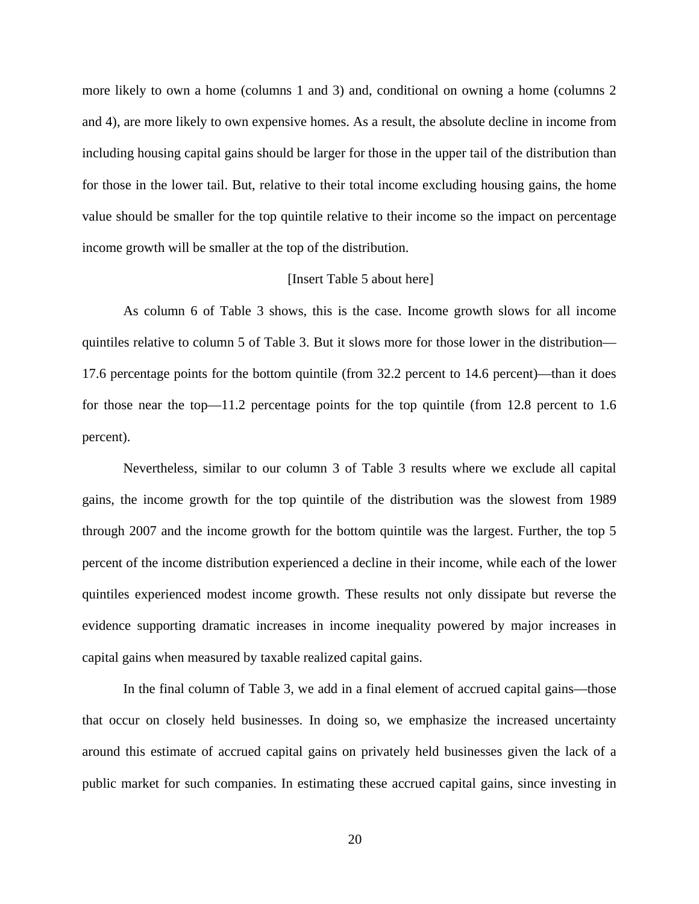more likely to own a home (columns 1 and 3) and, conditional on owning a home (columns 2 and 4), are more likely to own expensive homes. As a result, the absolute decline in income from including housing capital gains should be larger for those in the upper tail of the distribution than for those in the lower tail. But, relative to their total income excluding housing gains, the home value should be smaller for the top quintile relative to their income so the impact on percentage income growth will be smaller at the top of the distribution.

## [Insert Table 5 about here]

As column 6 of Table 3 shows, this is the case. Income growth slows for all income quintiles relative to column 5 of Table 3. But it slows more for those lower in the distribution— 17.6 percentage points for the bottom quintile (from 32.2 percent to 14.6 percent)—than it does for those near the top—11.2 percentage points for the top quintile (from 12.8 percent to 1.6 percent).

Nevertheless, similar to our column 3 of Table 3 results where we exclude all capital gains, the income growth for the top quintile of the distribution was the slowest from 1989 through 2007 and the income growth for the bottom quintile was the largest. Further, the top 5 percent of the income distribution experienced a decline in their income, while each of the lower quintiles experienced modest income growth. These results not only dissipate but reverse the evidence supporting dramatic increases in income inequality powered by major increases in capital gains when measured by taxable realized capital gains.

In the final column of Table 3, we add in a final element of accrued capital gains—those that occur on closely held businesses. In doing so, we emphasize the increased uncertainty around this estimate of accrued capital gains on privately held businesses given the lack of a public market for such companies. In estimating these accrued capital gains, since investing in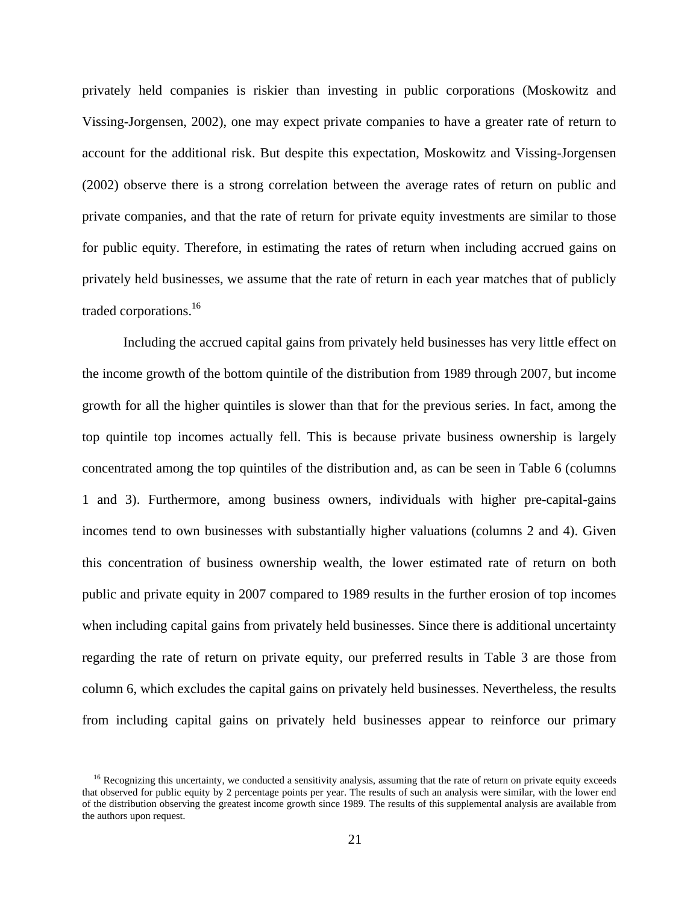privately held companies is riskier than investing in public corporations (Moskowitz and Vissing-Jorgensen, 2002), one may expect private companies to have a greater rate of return to account for the additional risk. But despite this expectation, Moskowitz and Vissing-Jorgensen (2002) observe there is a strong correlation between the average rates of return on public and private companies, and that the rate of return for private equity investments are similar to those for public equity. Therefore, in estimating the rates of return when including accrued gains on privately held businesses, we assume that the rate of return in each year matches that of publicly traded corporations.16

Including the accrued capital gains from privately held businesses has very little effect on the income growth of the bottom quintile of the distribution from 1989 through 2007, but income growth for all the higher quintiles is slower than that for the previous series. In fact, among the top quintile top incomes actually fell. This is because private business ownership is largely concentrated among the top quintiles of the distribution and, as can be seen in Table 6 (columns 1 and 3). Furthermore, among business owners, individuals with higher pre-capital-gains incomes tend to own businesses with substantially higher valuations (columns 2 and 4). Given this concentration of business ownership wealth, the lower estimated rate of return on both public and private equity in 2007 compared to 1989 results in the further erosion of top incomes when including capital gains from privately held businesses. Since there is additional uncertainty regarding the rate of return on private equity, our preferred results in Table 3 are those from column 6, which excludes the capital gains on privately held businesses. Nevertheless, the results from including capital gains on privately held businesses appear to reinforce our primary

<sup>&</sup>lt;sup>16</sup> Recognizing this uncertainty, we conducted a sensitivity analysis, assuming that the rate of return on private equity exceeds that observed for public equity by 2 percentage points per year. The results of such an analysis were similar, with the lower end of the distribution observing the greatest income growth since 1989. The results of this supplemental analysis are available from the authors upon request.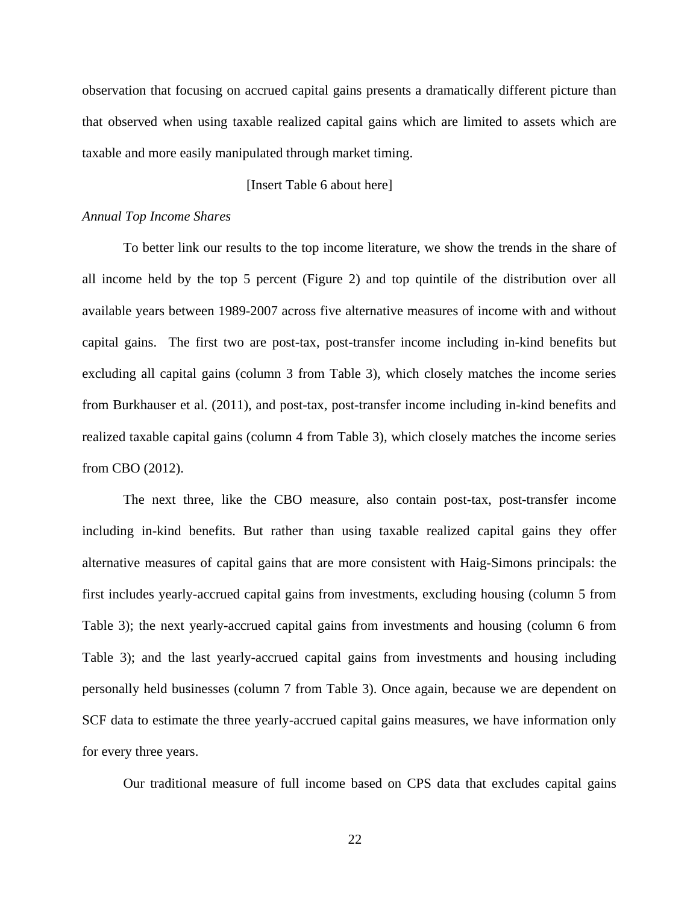observation that focusing on accrued capital gains presents a dramatically different picture than that observed when using taxable realized capital gains which are limited to assets which are taxable and more easily manipulated through market timing.

## [Insert Table 6 about here]

# *Annual Top Income Shares*

To better link our results to the top income literature, we show the trends in the share of all income held by the top 5 percent (Figure 2) and top quintile of the distribution over all available years between 1989-2007 across five alternative measures of income with and without capital gains. The first two are post-tax, post-transfer income including in-kind benefits but excluding all capital gains (column 3 from Table 3), which closely matches the income series from Burkhauser et al. (2011), and post-tax, post-transfer income including in-kind benefits and realized taxable capital gains (column 4 from Table 3), which closely matches the income series from CBO (2012).

The next three, like the CBO measure, also contain post-tax, post-transfer income including in-kind benefits. But rather than using taxable realized capital gains they offer alternative measures of capital gains that are more consistent with Haig-Simons principals: the first includes yearly-accrued capital gains from investments, excluding housing (column 5 from Table 3); the next yearly-accrued capital gains from investments and housing (column 6 from Table 3); and the last yearly-accrued capital gains from investments and housing including personally held businesses (column 7 from Table 3). Once again, because we are dependent on SCF data to estimate the three yearly-accrued capital gains measures, we have information only for every three years.

Our traditional measure of full income based on CPS data that excludes capital gains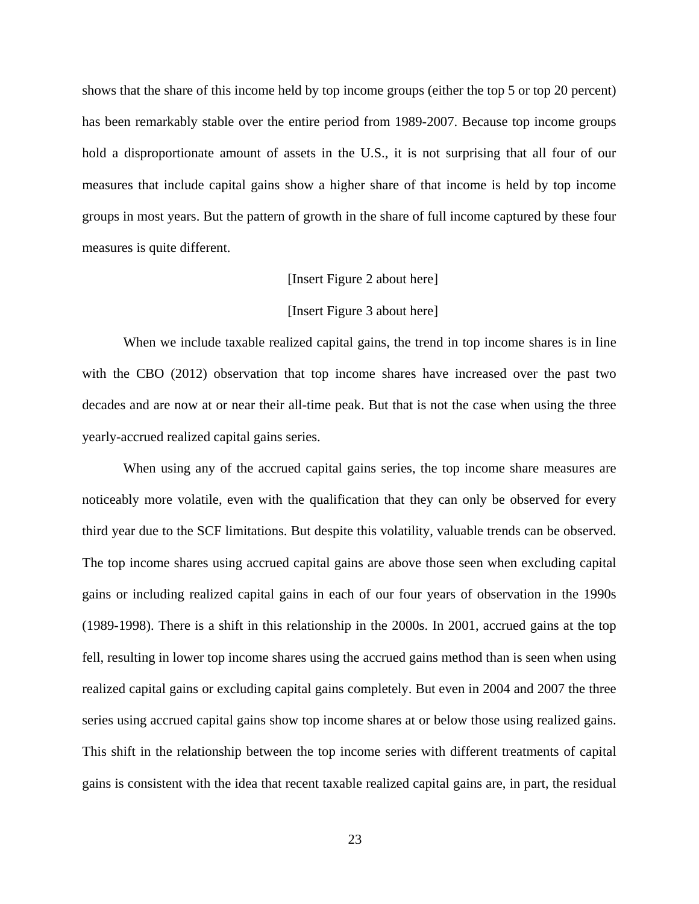shows that the share of this income held by top income groups (either the top 5 or top 20 percent) has been remarkably stable over the entire period from 1989-2007. Because top income groups hold a disproportionate amount of assets in the U.S., it is not surprising that all four of our measures that include capital gains show a higher share of that income is held by top income groups in most years. But the pattern of growth in the share of full income captured by these four measures is quite different.

## [Insert Figure 2 about here]

#### [Insert Figure 3 about here]

When we include taxable realized capital gains, the trend in top income shares is in line with the CBO (2012) observation that top income shares have increased over the past two decades and are now at or near their all-time peak. But that is not the case when using the three yearly-accrued realized capital gains series.

When using any of the accrued capital gains series, the top income share measures are noticeably more volatile, even with the qualification that they can only be observed for every third year due to the SCF limitations. But despite this volatility, valuable trends can be observed. The top income shares using accrued capital gains are above those seen when excluding capital gains or including realized capital gains in each of our four years of observation in the 1990s (1989-1998). There is a shift in this relationship in the 2000s. In 2001, accrued gains at the top fell, resulting in lower top income shares using the accrued gains method than is seen when using realized capital gains or excluding capital gains completely. But even in 2004 and 2007 the three series using accrued capital gains show top income shares at or below those using realized gains. This shift in the relationship between the top income series with different treatments of capital gains is consistent with the idea that recent taxable realized capital gains are, in part, the residual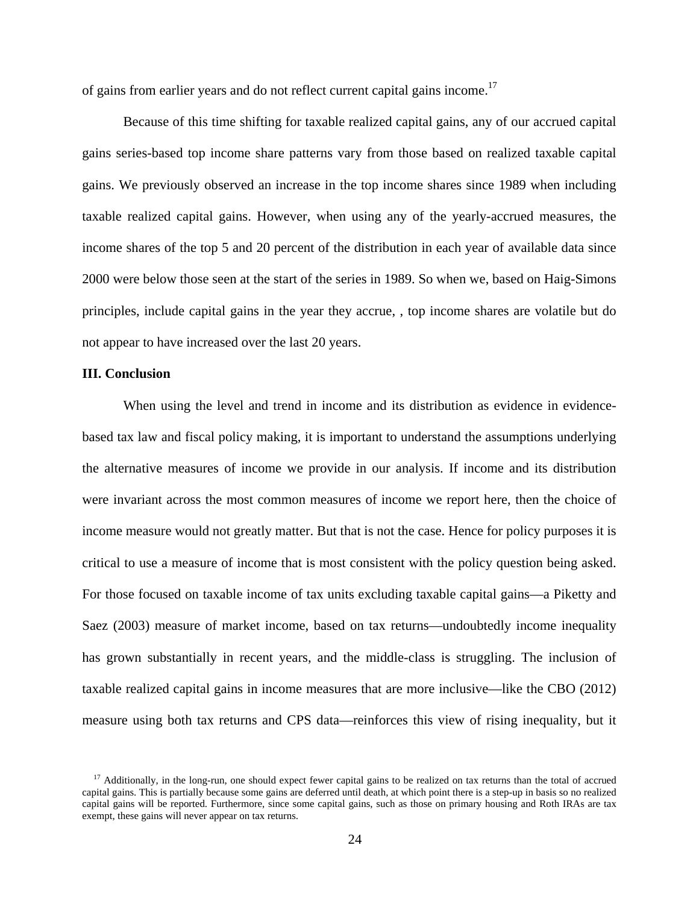of gains from earlier years and do not reflect current capital gains income.<sup>17</sup>

Because of this time shifting for taxable realized capital gains, any of our accrued capital gains series-based top income share patterns vary from those based on realized taxable capital gains. We previously observed an increase in the top income shares since 1989 when including taxable realized capital gains. However, when using any of the yearly-accrued measures, the income shares of the top 5 and 20 percent of the distribution in each year of available data since 2000 were below those seen at the start of the series in 1989. So when we, based on Haig-Simons principles, include capital gains in the year they accrue, , top income shares are volatile but do not appear to have increased over the last 20 years.

## **III. Conclusion**

When using the level and trend in income and its distribution as evidence in evidencebased tax law and fiscal policy making, it is important to understand the assumptions underlying the alternative measures of income we provide in our analysis. If income and its distribution were invariant across the most common measures of income we report here, then the choice of income measure would not greatly matter. But that is not the case. Hence for policy purposes it is critical to use a measure of income that is most consistent with the policy question being asked. For those focused on taxable income of tax units excluding taxable capital gains—a Piketty and Saez (2003) measure of market income, based on tax returns—undoubtedly income inequality has grown substantially in recent years, and the middle-class is struggling. The inclusion of taxable realized capital gains in income measures that are more inclusive—like the CBO (2012) measure using both tax returns and CPS data—reinforces this view of rising inequality, but it

<sup>&</sup>lt;sup>17</sup> Additionally, in the long-run, one should expect fewer capital gains to be realized on tax returns than the total of accrued capital gains. This is partially because some gains are deferred until death, at which point there is a step-up in basis so no realized capital gains will be reported. Furthermore, since some capital gains, such as those on primary housing and Roth IRAs are tax exempt, these gains will never appear on tax returns.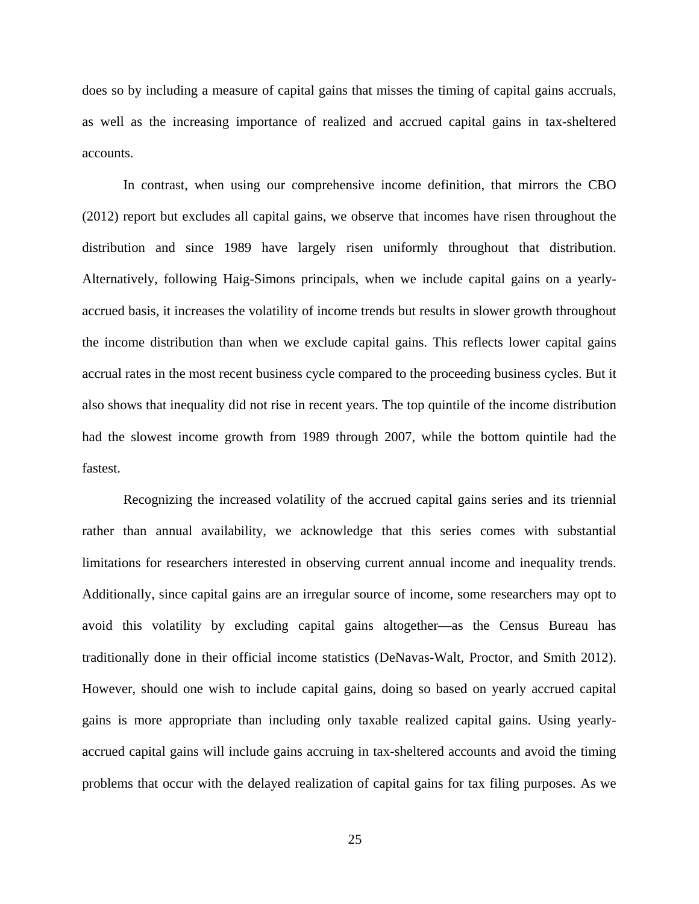does so by including a measure of capital gains that misses the timing of capital gains accruals, as well as the increasing importance of realized and accrued capital gains in tax-sheltered accounts.

In contrast, when using our comprehensive income definition, that mirrors the CBO (2012) report but excludes all capital gains, we observe that incomes have risen throughout the distribution and since 1989 have largely risen uniformly throughout that distribution. Alternatively, following Haig-Simons principals, when we include capital gains on a yearlyaccrued basis, it increases the volatility of income trends but results in slower growth throughout the income distribution than when we exclude capital gains. This reflects lower capital gains accrual rates in the most recent business cycle compared to the proceeding business cycles. But it also shows that inequality did not rise in recent years. The top quintile of the income distribution had the slowest income growth from 1989 through 2007, while the bottom quintile had the fastest.

Recognizing the increased volatility of the accrued capital gains series and its triennial rather than annual availability, we acknowledge that this series comes with substantial limitations for researchers interested in observing current annual income and inequality trends. Additionally, since capital gains are an irregular source of income, some researchers may opt to avoid this volatility by excluding capital gains altogether—as the Census Bureau has traditionally done in their official income statistics (DeNavas-Walt, Proctor, and Smith 2012). However, should one wish to include capital gains, doing so based on yearly accrued capital gains is more appropriate than including only taxable realized capital gains. Using yearlyaccrued capital gains will include gains accruing in tax-sheltered accounts and avoid the timing problems that occur with the delayed realization of capital gains for tax filing purposes. As we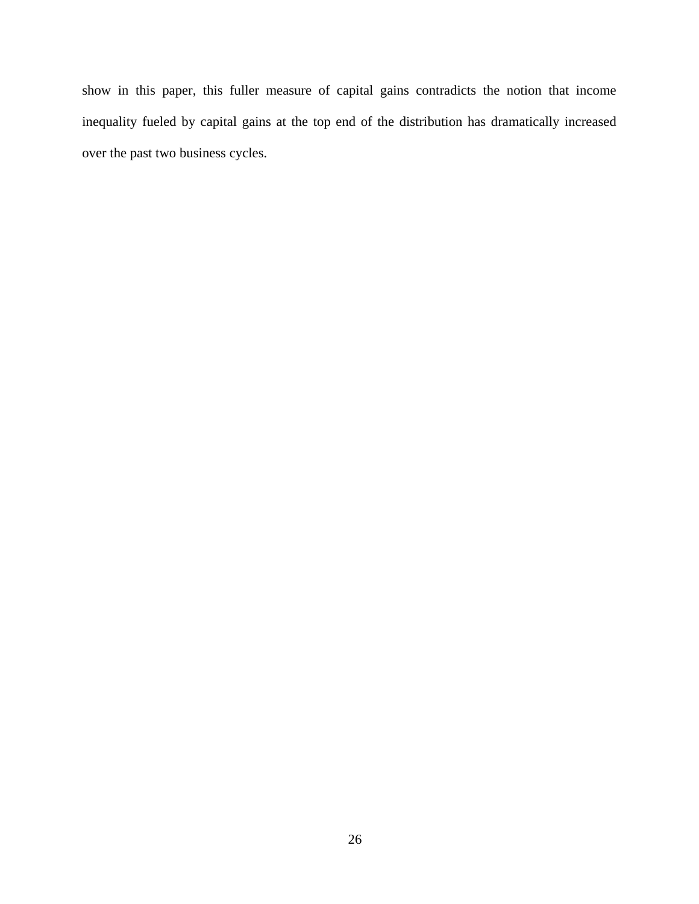show in this paper, this fuller measure of capital gains contradicts the notion that income inequality fueled by capital gains at the top end of the distribution has dramatically increased over the past two business cycles.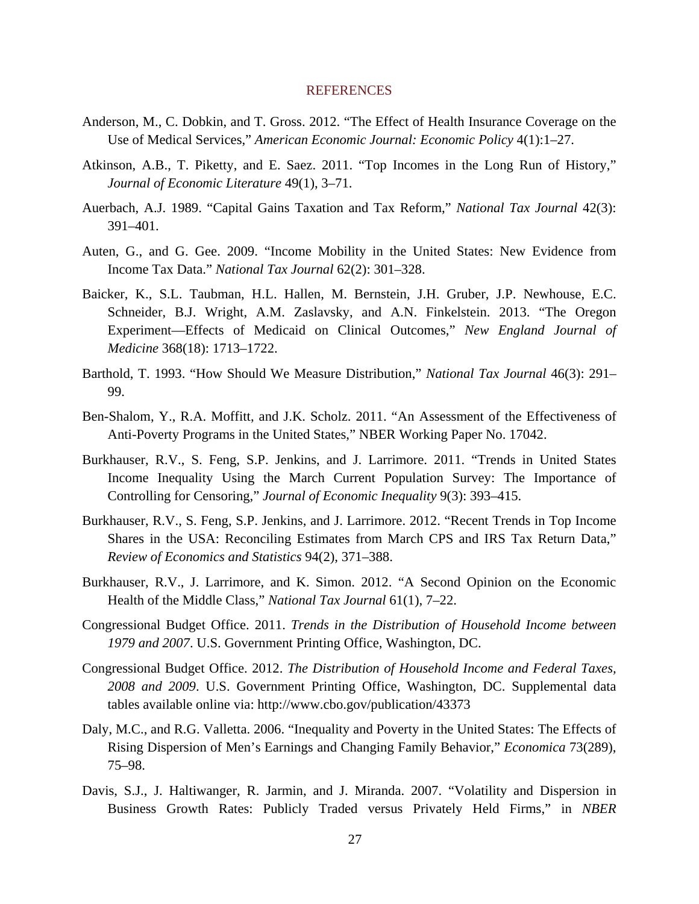#### REFERENCES

- Anderson, M., C. Dobkin, and T. Gross. 2012. "The Effect of Health Insurance Coverage on the Use of Medical Services," *American Economic Journal: Economic Policy* 4(1):1–27.
- Atkinson, A.B., T. Piketty, and E. Saez. 2011. "Top Incomes in the Long Run of History," *Journal of Economic Literature* 49(1), 3–71.
- Auerbach, A.J. 1989. "Capital Gains Taxation and Tax Reform," *National Tax Journal* 42(3): 391–401.
- Auten, G., and G. Gee. 2009. "Income Mobility in the United States: New Evidence from Income Tax Data." *National Tax Journal* 62(2): 301–328.
- Baicker, K., S.L. Taubman, H.L. Hallen, M. Bernstein, J.H. Gruber, J.P. Newhouse, E.C. Schneider, B.J. Wright, A.M. Zaslavsky, and A.N. Finkelstein. 2013. "The Oregon Experiment—Effects of Medicaid on Clinical Outcomes," *New England Journal of Medicine* 368(18): 1713–1722.
- Barthold, T. 1993. "How Should We Measure Distribution," *National Tax Journal* 46(3): 291– 99.
- Ben-Shalom, Y., R.A. Moffitt, and J.K. Scholz. 2011. "An Assessment of the Effectiveness of Anti-Poverty Programs in the United States," NBER Working Paper No. 17042.
- Burkhauser, R.V., S. Feng, S.P. Jenkins, and J. Larrimore. 2011. "Trends in United States Income Inequality Using the March Current Population Survey: The Importance of Controlling for Censoring," *Journal of Economic Inequality* 9(3): 393–415.
- Burkhauser, R.V., S. Feng, S.P. Jenkins, and J. Larrimore. 2012. "Recent Trends in Top Income Shares in the USA: Reconciling Estimates from March CPS and IRS Tax Return Data," *Review of Economics and Statistics* 94(2), 371–388.
- Burkhauser, R.V., J. Larrimore, and K. Simon. 2012. "A Second Opinion on the Economic Health of the Middle Class," *National Tax Journal* 61(1), 7–22.
- Congressional Budget Office. 2011. *Trends in the Distribution of Household Income between 1979 and 2007*. U.S. Government Printing Office, Washington, DC.
- Congressional Budget Office. 2012. *The Distribution of Household Income and Federal Taxes, 2008 and 2009*. U.S. Government Printing Office, Washington, DC. Supplemental data tables available online via: http://www.cbo.gov/publication/43373
- Daly, M.C., and R.G. Valletta. 2006. "Inequality and Poverty in the United States: The Effects of Rising Dispersion of Men's Earnings and Changing Family Behavior," *Economica* 73(289), 75–98.
- Davis, S.J., J. Haltiwanger, R. Jarmin, and J. Miranda. 2007. "Volatility and Dispersion in Business Growth Rates: Publicly Traded versus Privately Held Firms," in *NBER*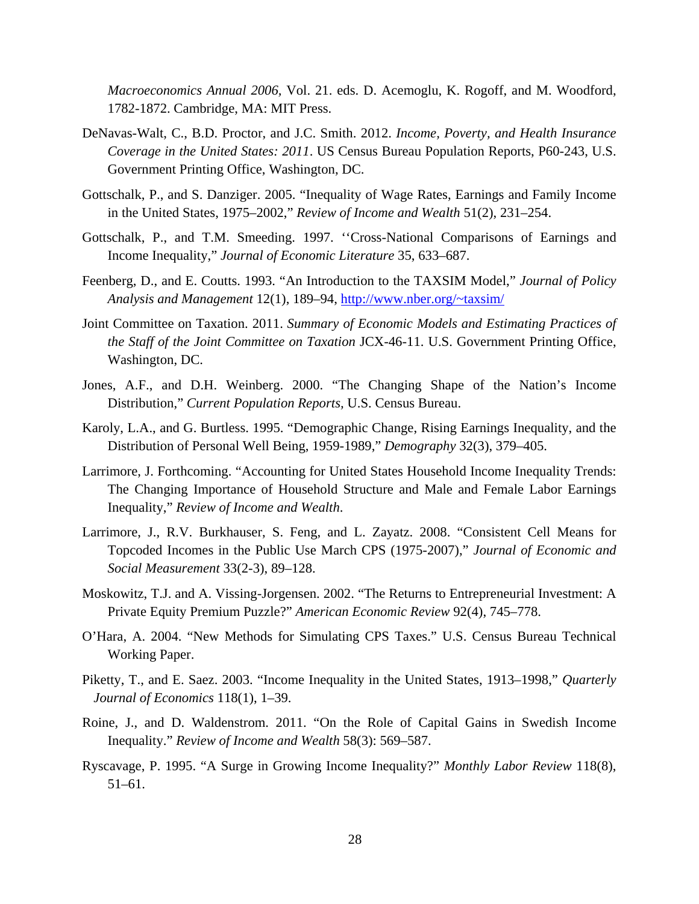*Macroeconomics Annual 2006,* Vol. 21. eds. D. Acemoglu, K. Rogoff, and M. Woodford, 1782-1872. Cambridge, MA: MIT Press.

- DeNavas-Walt, C., B.D. Proctor, and J.C. Smith. 2012. *Income, Poverty, and Health Insurance Coverage in the United States: 2011*. US Census Bureau Population Reports, P60-243, U.S. Government Printing Office, Washington, DC.
- Gottschalk, P., and S. Danziger. 2005. "Inequality of Wage Rates, Earnings and Family Income in the United States, 1975–2002," *Review of Income and Wealth* 51(2), 231–254.
- Gottschalk, P., and T.M. Smeeding. 1997. ''Cross-National Comparisons of Earnings and Income Inequality," *Journal of Economic Literature* 35, 633–687.
- Feenberg, D., and E. Coutts. 1993. "An Introduction to the TAXSIM Model," *Journal of Policy Analysis and Management* 12(1), 189–94, http://www.nber.org/~taxsim/
- Joint Committee on Taxation. 2011. *Summary of Economic Models and Estimating Practices of the Staff of the Joint Committee on Taxation* JCX-46-11. U.S. Government Printing Office, Washington, DC.
- Jones, A.F., and D.H. Weinberg. 2000. "The Changing Shape of the Nation's Income Distribution," *Current Population Reports,* U.S. Census Bureau.
- Karoly, L.A., and G. Burtless. 1995. "Demographic Change, Rising Earnings Inequality, and the Distribution of Personal Well Being, 1959-1989," *Demography* 32(3), 379–405.
- Larrimore, J. Forthcoming. "Accounting for United States Household Income Inequality Trends: The Changing Importance of Household Structure and Male and Female Labor Earnings Inequality," *Review of Income and Wealth*.
- Larrimore, J., R.V. Burkhauser, S. Feng, and L. Zayatz. 2008. "Consistent Cell Means for Topcoded Incomes in the Public Use March CPS (1975-2007)," *Journal of Economic and Social Measurement* 33(2-3), 89–128.
- Moskowitz, T.J. and A. Vissing-Jorgensen. 2002. "The Returns to Entrepreneurial Investment: A Private Equity Premium Puzzle?" *American Economic Review* 92(4), 745–778.
- O'Hara, A. 2004. "New Methods for Simulating CPS Taxes." U.S. Census Bureau Technical Working Paper.
- Piketty, T., and E. Saez. 2003. "Income Inequality in the United States, 1913–1998," *Quarterly Journal of Economics* 118(1), 1–39.
- Roine, J., and D. Waldenstrom. 2011. "On the Role of Capital Gains in Swedish Income Inequality." *Review of Income and Wealth* 58(3): 569–587.
- Ryscavage, P. 1995. "A Surge in Growing Income Inequality?" *Monthly Labor Review* 118(8), 51–61.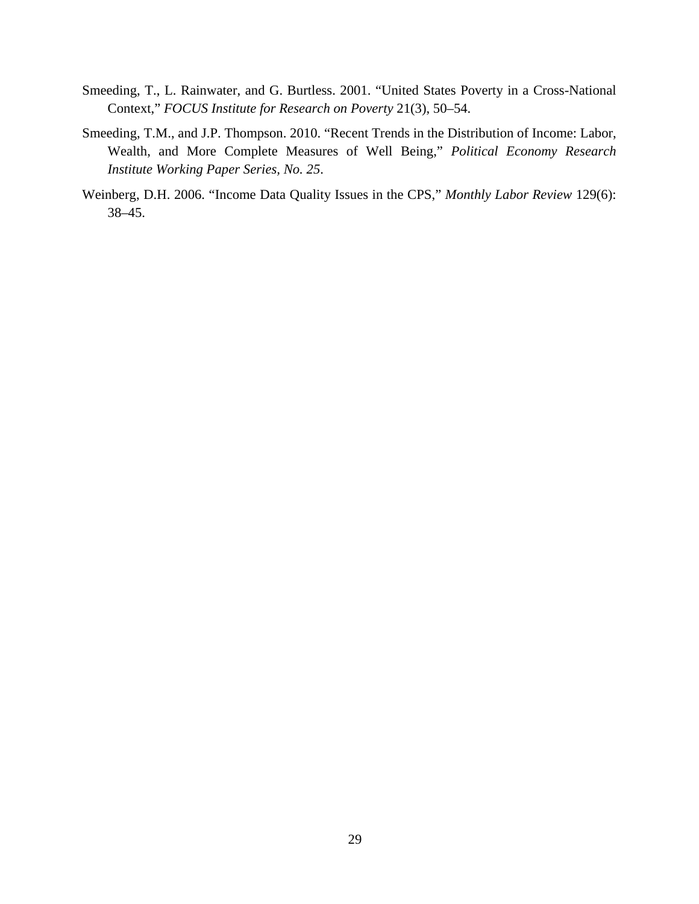- Smeeding, T., L. Rainwater, and G. Burtless. 2001. "United States Poverty in a Cross-National Context," *FOCUS Institute for Research on Poverty* 21(3), 50–54.
- Smeeding, T.M., and J.P. Thompson. 2010. "Recent Trends in the Distribution of Income: Labor, Wealth, and More Complete Measures of Well Being," *Political Economy Research Institute Working Paper Series, No. 25*.
- Weinberg, D.H. 2006. "Income Data Quality Issues in the CPS," *Monthly Labor Review* 129(6): 38–45.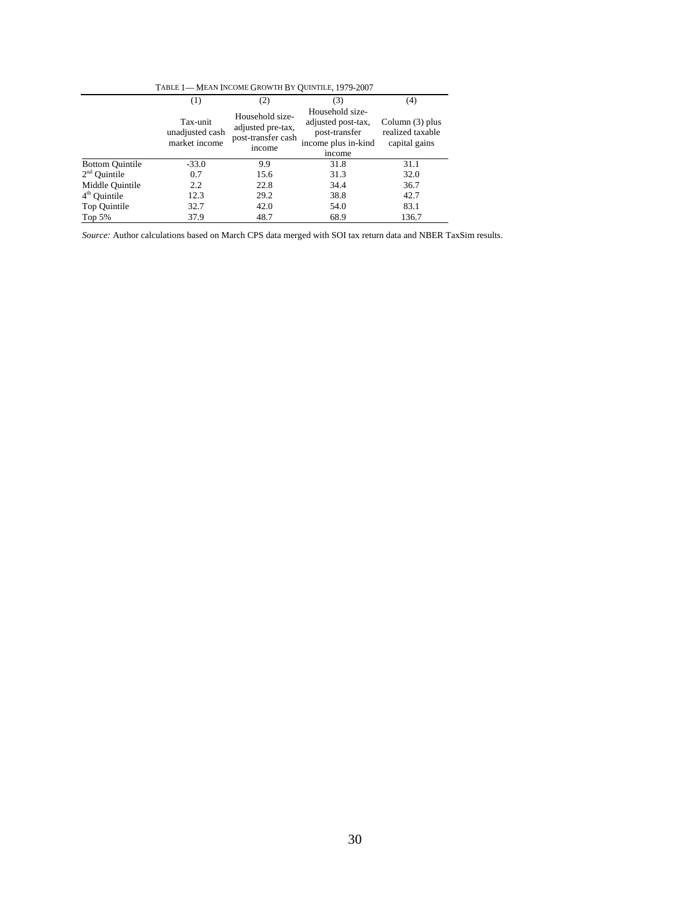| TABLE 1-MEAN INCOME GROWTH BY OUINTILE, 1979-2007 |                                              |                                                                      |                                                                                         |                                                        |  |  |
|---------------------------------------------------|----------------------------------------------|----------------------------------------------------------------------|-----------------------------------------------------------------------------------------|--------------------------------------------------------|--|--|
|                                                   | (4)<br>(3)<br>(1)<br>(2)                     |                                                                      |                                                                                         |                                                        |  |  |
|                                                   | Tax-unit<br>unadjusted cash<br>market income | Household size-<br>adjusted pre-tax,<br>post-transfer cash<br>income | Household size-<br>adjusted post-tax,<br>post-transfer<br>income plus in-kind<br>income | Column $(3)$ plus<br>realized taxable<br>capital gains |  |  |
| <b>Bottom Quintile</b>                            | $-33.0$                                      | 9.9                                                                  | 31.8                                                                                    | 31.1                                                   |  |  |
| 2 <sup>nd</sup> Ouintile                          | 0.7                                          | 15.6                                                                 | 31.3                                                                                    | 32.0                                                   |  |  |
| Middle Ouintile                                   | 2.2                                          | 22.8                                                                 | 34.4                                                                                    | 36.7                                                   |  |  |
| 4 <sup>th</sup> Quintile                          | 12.3                                         | 29.2                                                                 | 38.8                                                                                    | 42.7                                                   |  |  |
| Top Quintile                                      | 32.7                                         | 42.0                                                                 | 54.0                                                                                    | 83.1                                                   |  |  |
| Top 5%                                            | 37.9                                         | 48.7                                                                 | 68.9                                                                                    | 136.7                                                  |  |  |

*Source:* Author calculations based on March CPS data merged with SOI tax return data and NBER TaxSim results.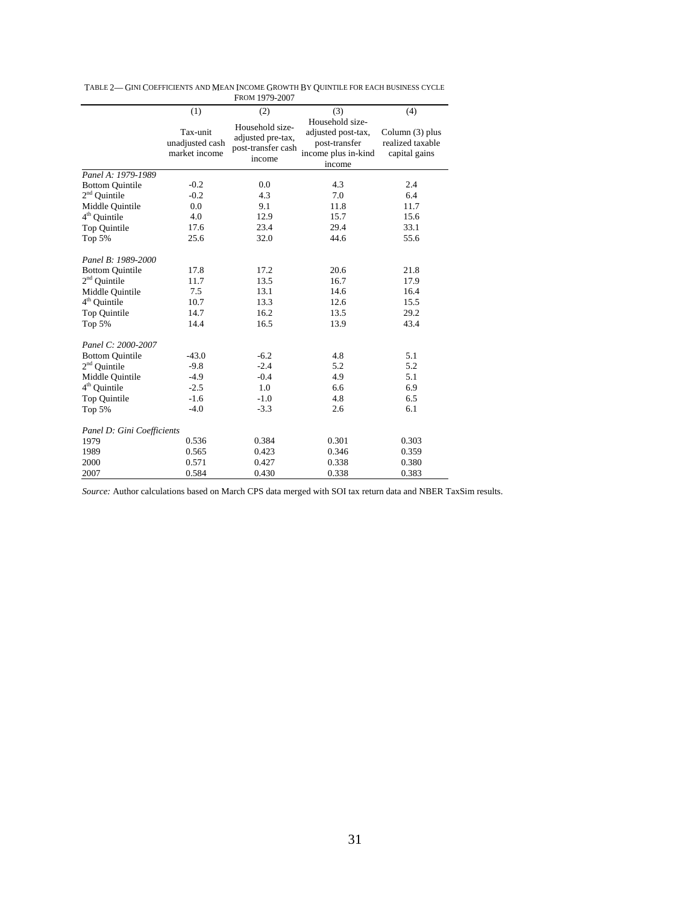|                            |                                              | FROM 1979-2007                                                       |                                                                                         |                                                      |
|----------------------------|----------------------------------------------|----------------------------------------------------------------------|-----------------------------------------------------------------------------------------|------------------------------------------------------|
|                            | (1)                                          | (2)                                                                  | (3)                                                                                     | (4)                                                  |
|                            | Tax-unit<br>unadjusted cash<br>market income | Household size-<br>adjusted pre-tax,<br>post-transfer cash<br>income | Household size-<br>adjusted post-tax,<br>post-transfer<br>income plus in-kind<br>income | Column (3) plus<br>realized taxable<br>capital gains |
| Panel A: 1979-1989         |                                              |                                                                      |                                                                                         |                                                      |
| <b>Bottom Quintile</b>     | $-0.2$                                       | 0.0                                                                  | 4.3                                                                                     | 2.4                                                  |
| $2nd$ Quintile             | $-0.2$                                       | 4.3                                                                  | 7.0                                                                                     | 6.4                                                  |
| Middle Quintile            | 0.0                                          | 9.1                                                                  | 11.8                                                                                    | 11.7                                                 |
| $4th$ Quintile             | 4.0                                          | 12.9                                                                 | 15.7                                                                                    | 15.6                                                 |
| Top Quintile               | 17.6                                         | 23.4                                                                 | 29.4                                                                                    | 33.1                                                 |
| Top 5%                     | 25.6                                         | 32.0                                                                 | 44.6                                                                                    | 55.6                                                 |
| Panel B: 1989-2000         |                                              |                                                                      |                                                                                         |                                                      |
| <b>Bottom Quintile</b>     | 17.8                                         | 17.2                                                                 | 20.6                                                                                    | 21.8                                                 |
| $2nd$ Ouintile             | 11.7                                         | 13.5                                                                 | 16.7                                                                                    | 17.9                                                 |
| Middle Quintile            | 7.5                                          | 13.1                                                                 | 14.6                                                                                    | 16.4                                                 |
| $4th$ Quintile             | 10.7                                         | 13.3                                                                 | 12.6                                                                                    | 15.5                                                 |
| Top Quintile               | 14.7                                         | 16.2                                                                 | 13.5                                                                                    | 29.2                                                 |
| Top 5%                     | 14.4                                         | 16.5                                                                 | 13.9                                                                                    | 43.4                                                 |
| Panel C: 2000-2007         |                                              |                                                                      |                                                                                         |                                                      |
| <b>Bottom Quintile</b>     | $-43.0$                                      | $-6.2$                                                               | 4.8                                                                                     | 5.1                                                  |
| $2nd$ Quintile             | $-9.8$                                       | $-2.4$                                                               | 5.2                                                                                     | 5.2                                                  |
| Middle Quintile            | $-4.9$                                       | $-0.4$                                                               | 4.9                                                                                     | 5.1                                                  |
| $4th$ Quintile             | $-2.5$                                       | 1.0                                                                  | 6.6                                                                                     | 6.9                                                  |
| Top Quintile               | $-1.6$                                       | $-1.0$                                                               | 4.8                                                                                     | 6.5                                                  |
| Top 5%                     | $-4.0$                                       | $-3.3$                                                               | 2.6                                                                                     | 6.1                                                  |
| Panel D: Gini Coefficients |                                              |                                                                      |                                                                                         |                                                      |
| 1979                       | 0.536                                        | 0.384                                                                | 0.301                                                                                   | 0.303                                                |
| 1989                       | 0.565                                        | 0.423                                                                | 0.346                                                                                   | 0.359                                                |
| 2000                       | 0.571                                        | 0.427                                                                | 0.338                                                                                   | 0.380                                                |
| 2007                       | 0.584                                        | 0.430                                                                | 0.338                                                                                   | 0.383                                                |

TABLE 2— GINI COEFFICIENTS AND MEAN INCOME GROWTH BY QUINTILE FOR EACH BUSINESS CYCLE

*Source:* Author calculations based on March CPS data merged with SOI tax return data and NBER TaxSim results.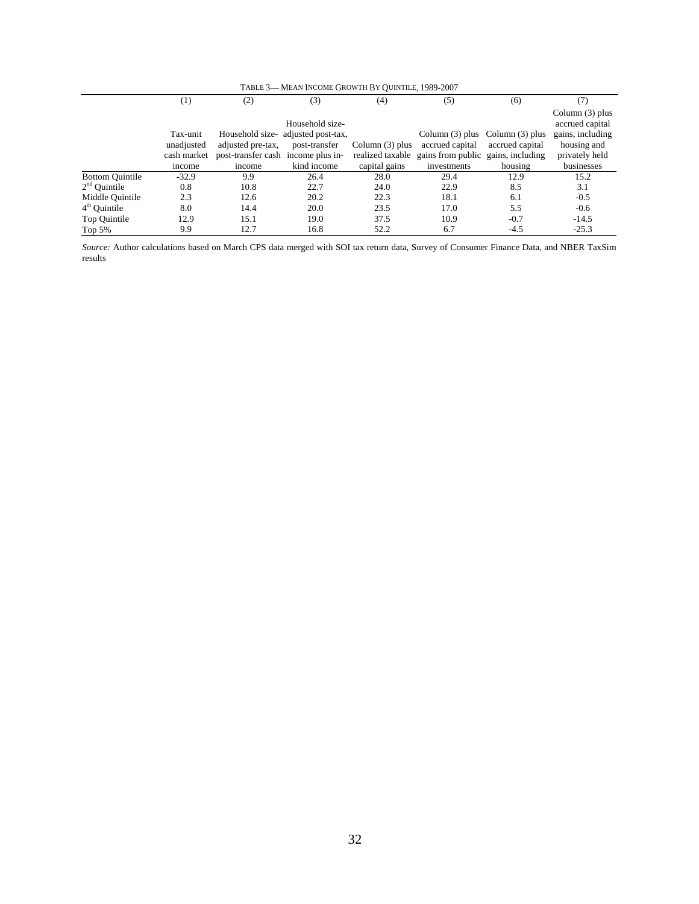| TABLE 3-MEAN INCOME GROWTH BY OUINTILE, 1989-2007 |                  |                                    |                                    |                   |                                     |                 |                                      |
|---------------------------------------------------|------------------|------------------------------------|------------------------------------|-------------------|-------------------------------------|-----------------|--------------------------------------|
|                                                   | $\left(1\right)$ | (2)                                | (3)                                | (4)               | (5)                                 | (6)             | (7)                                  |
|                                                   |                  |                                    | Household size-                    |                   |                                     |                 | Column $(3)$ plus<br>accrued capital |
|                                                   | Tax-unit         |                                    | Household size- adjusted post-tax, |                   | Column $(3)$ plus Column $(3)$ plus |                 | gains, including                     |
|                                                   | unadjusted       | adjusted pre-tax,                  | post-transfer                      | Column $(3)$ plus | accrued capital                     | accrued capital | housing and                          |
|                                                   | cash market      | post-transfer cash income plus in- |                                    | realized taxable  | gains from public gains, including  |                 | privately held                       |
|                                                   | income           | income                             | kind income                        | capital gains     | investments                         | housing         | businesses                           |
| <b>Bottom Quintile</b>                            | $-32.9$          | 9.9                                | 26.4                               | 28.0              | 29.4                                | 12.9            | 15.2                                 |
| $2nd$ Ouintile                                    | 0.8              | 10.8                               | 22.7                               | 24.0              | 22.9                                | 8.5             | 3.1                                  |
| Middle Quintile                                   | 2.3              | 12.6                               | 20.2                               | 22.3              | 18.1                                | 6.1             | $-0.5$                               |
| $4th$ Ouintile                                    | 8.0              | 14.4                               | 20.0                               | 23.5              | 17.0                                | 5.5             | $-0.6$                               |
| Top Quintile                                      | 12.9             | 15.1                               | 19.0                               | 37.5              | 10.9                                | $-0.7$          | $-14.5$                              |
| Top $5%$                                          | 9.9              | 12.7                               | 16.8                               | 52.2              | 6.7                                 | $-4.5$          | $-25.3$                              |

*Source:* Author calculations based on March CPS data merged with SOI tax return data, Survey of Consumer Finance Data, and NBER TaxSim results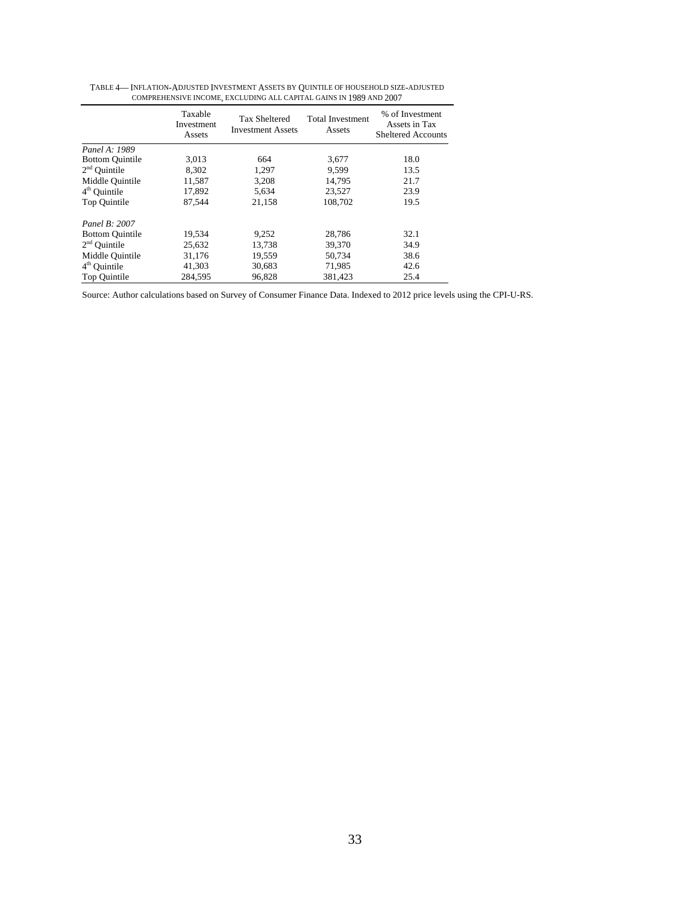| COMPREHENSIVE INCOME, EACLODING ALL CAPITAL GAINS IN 1989 AND 2007 |                                 |                                                  |                                   |                                                               |  |
|--------------------------------------------------------------------|---------------------------------|--------------------------------------------------|-----------------------------------|---------------------------------------------------------------|--|
|                                                                    | Taxable<br>Investment<br>Assets | <b>Tax Sheltered</b><br><b>Investment Assets</b> | <b>Total Investment</b><br>Assets | % of Investment<br>Assets in Tax<br><b>Sheltered Accounts</b> |  |
| Panel A: 1989                                                      |                                 |                                                  |                                   |                                                               |  |
| <b>Bottom Quintile</b>                                             | 3.013                           | 664                                              | 3,677                             | 18.0                                                          |  |
| $2nd$ Ouintile                                                     | 8.302                           | 1.297                                            | 9.599                             | 13.5                                                          |  |
| Middle Quintile                                                    | 11,587                          | 3,208                                            | 14.795                            | 21.7                                                          |  |
| $4th$ Ouintile                                                     | 17,892                          | 5,634                                            | 23,527                            | 23.9                                                          |  |
| Top Ouintile                                                       | 87.544                          | 21.158                                           | 108.702                           | 19.5                                                          |  |
| Panel B: 2007                                                      |                                 |                                                  |                                   |                                                               |  |
| <b>Bottom Quintile</b>                                             | 19,534                          | 9,252                                            | 28,786                            | 32.1                                                          |  |
| $2nd$ Quintile                                                     | 25,632                          | 13,738                                           | 39,370                            | 34.9                                                          |  |
| Middle Quintile                                                    | 31,176                          | 19,559                                           | 50.734                            | 38.6                                                          |  |
| $4th$ Quintile                                                     | 41,303                          | 30,683                                           | 71,985                            | 42.6                                                          |  |
| Top Quintile                                                       | 284.595                         | 96,828                                           | 381.423                           | 25.4                                                          |  |

TABLE 4— INFLATION-ADJUSTED INVESTMENT ASSETS BY QUINTILE OF HOUSEHOLD SIZE-ADJUSTED COMPREHENSIVE INCOME, EXCLUDING ALL CAPITAL GAINS IN 1989 AND 2007

Source: Author calculations based on Survey of Consumer Finance Data. Indexed to 2012 price levels using the CPI-U-RS.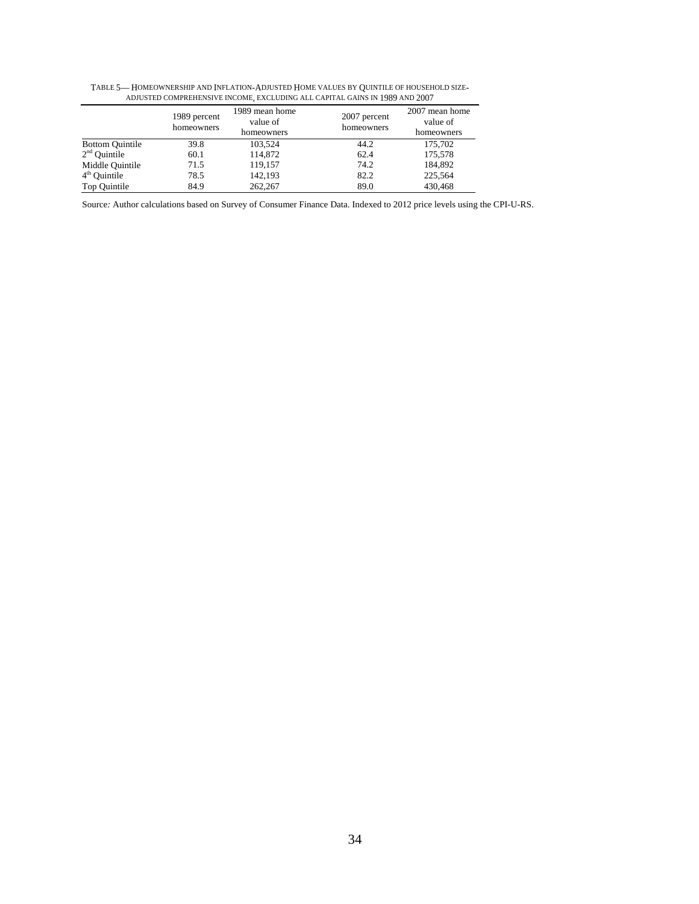|                        | ADJUSTED COMPREHENSIVE INCOME, EACLUDING ALL CAPITAL GAINS IN 1989 AND 2007 |                                          |                            |                                          |  |  |
|------------------------|-----------------------------------------------------------------------------|------------------------------------------|----------------------------|------------------------------------------|--|--|
|                        | 1989 percent<br>homeowners                                                  | 1989 mean home<br>value of<br>homeowners | 2007 percent<br>homeowners | 2007 mean home<br>value of<br>homeowners |  |  |
| <b>Bottom Quintile</b> | 39.8                                                                        | 103.524                                  | 44.2                       | 175,702                                  |  |  |
| $2nd$ Quintile         | 60.1                                                                        | 114.872                                  | 62.4                       | 175,578                                  |  |  |
| Middle Quintile        | 71.5                                                                        | 119,157                                  | 74.2                       | 184,892                                  |  |  |
| $4th$ Quintile         | 78.5                                                                        | 142,193                                  | 82.2                       | 225,564                                  |  |  |
| Top Quintile           | 84.9                                                                        | 262,267                                  | 89.0                       | 430,468                                  |  |  |

TABLE 5— HOMEOWNERSHIP AND INFLATION-ADJUSTED HOME VALUES BY QUINTILE OF HOUSEHOLD SIZE-ADJUSTED COMPREHENSIVE INCOME, EXCLUDING ALL CAPITAL GAINS IN 1989 AND 2007

Source*:* Author calculations based on Survey of Consumer Finance Data. Indexed to 2012 price levels using the CPI-U-RS.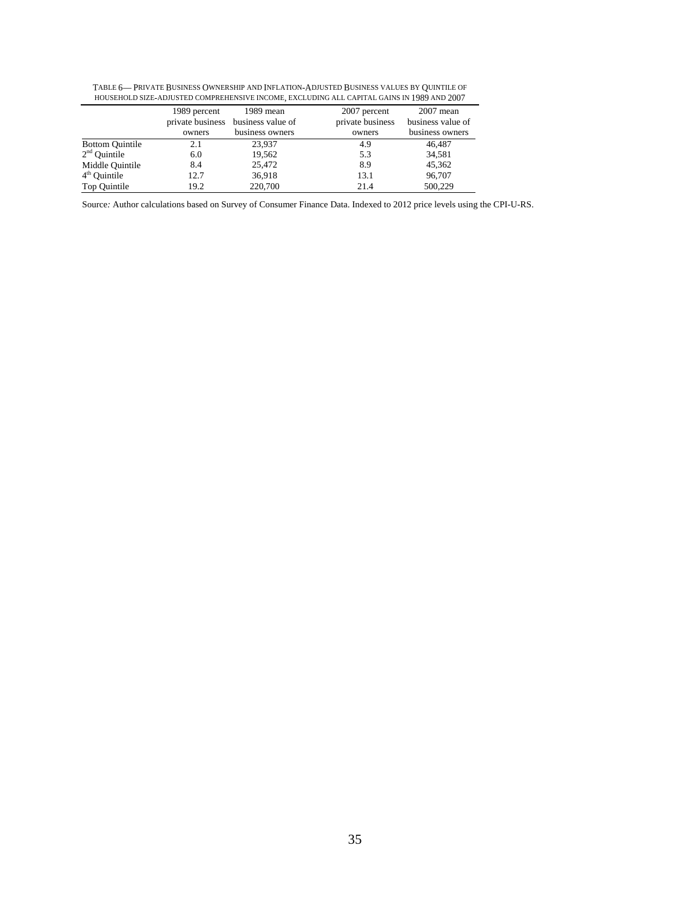|                        | 1989 percent     | 1989 mean         | 2007 percent     | $2007$ mean       |
|------------------------|------------------|-------------------|------------------|-------------------|
|                        | private business | business value of | private business | business value of |
|                        | owners           | business owners   | owners           | business owners   |
| <b>Bottom Quintile</b> | 2.1              | 23.937            | 4.9              | 46.487            |
| $2nd$ Ouintile         | 6.0              | 19.562            | 5.3              | 34,581            |
| Middle Quintile        | 8.4              | 25,472            | 8.9              | 45.362            |
| $4th$ Ouintile         | 12.7             | 36,918            | 13.1             | 96,707            |
| Top Quintile           | 19.2             | 220,700           | 21.4             | 500,229           |

TABLE 6— PRIVATE BUSINESS OWNERSHIP AND INFLATION-ADJUSTED BUSINESS VALUES BY QUINTILE OF HOUSEHOLD SIZE-ADJUSTED COMPREHENSIVE INCOME, EXCLUDING ALL CAPITAL GAINS IN 1989 AND 2007

Source*:* Author calculations based on Survey of Consumer Finance Data. Indexed to 2012 price levels using the CPI-U-RS.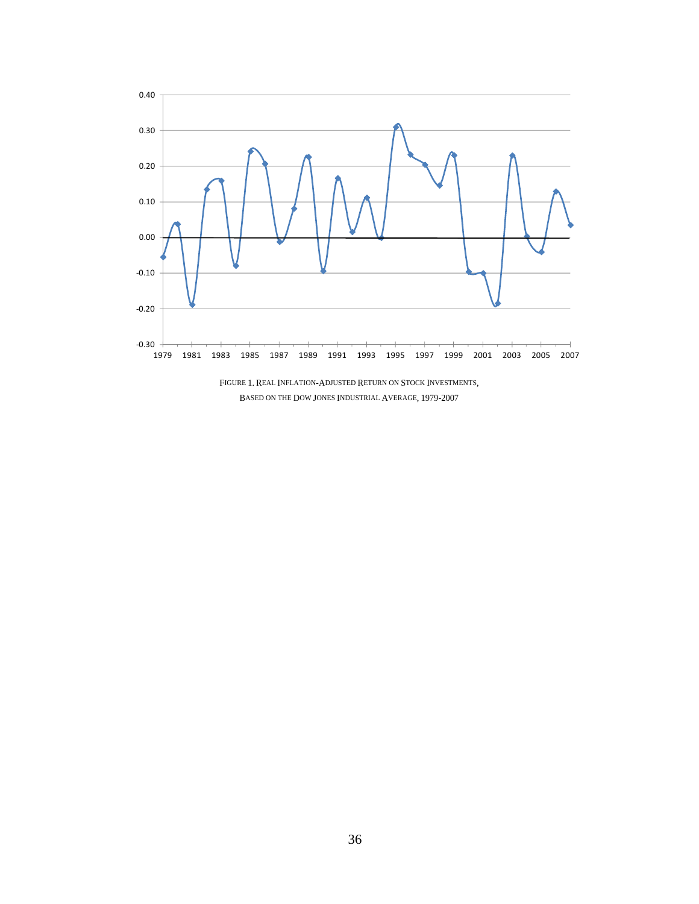

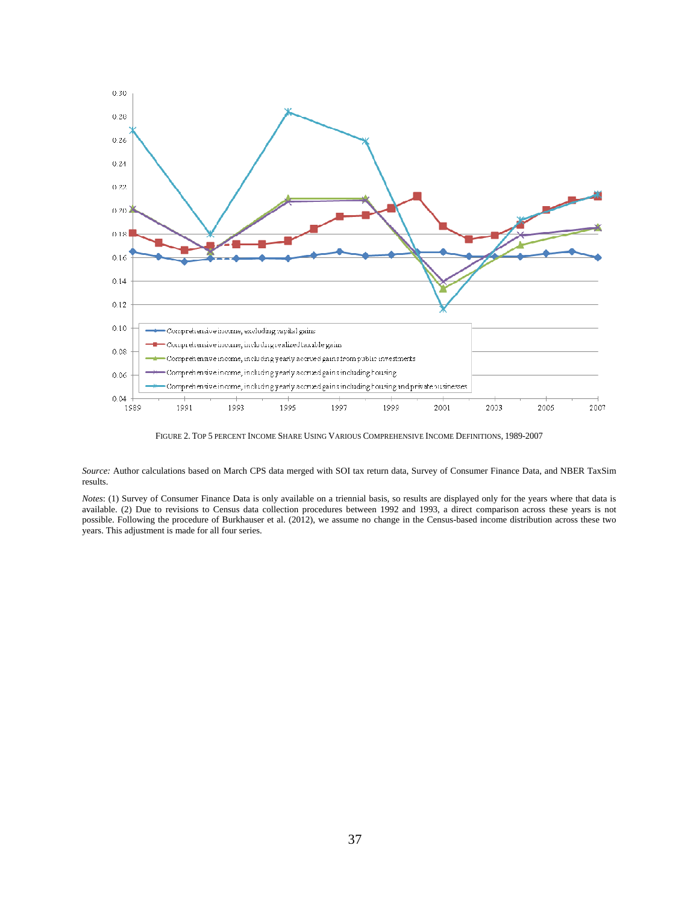

FIGURE 2. TOP 5 PERCENT INCOME SHARE USING VARIOUS COMPREHENSIVE INCOME DEFINITIONS, 1989-2007

*Source:* Author calculations based on March CPS data merged with SOI tax return data, Survey of Consumer Finance Data, and NBER TaxSim results.

*Notes*: (1) Survey of Consumer Finance Data is only available on a triennial basis, so results are displayed only for the years where that data is available. (2) Due to revisions to Census data collection procedures between 1992 and 1993, a direct comparison across these years is not possible. Following the procedure of Burkhauser et al. (2012), we assume no change in the Census-based income distribution across these two years. This adjustment is made for all four series.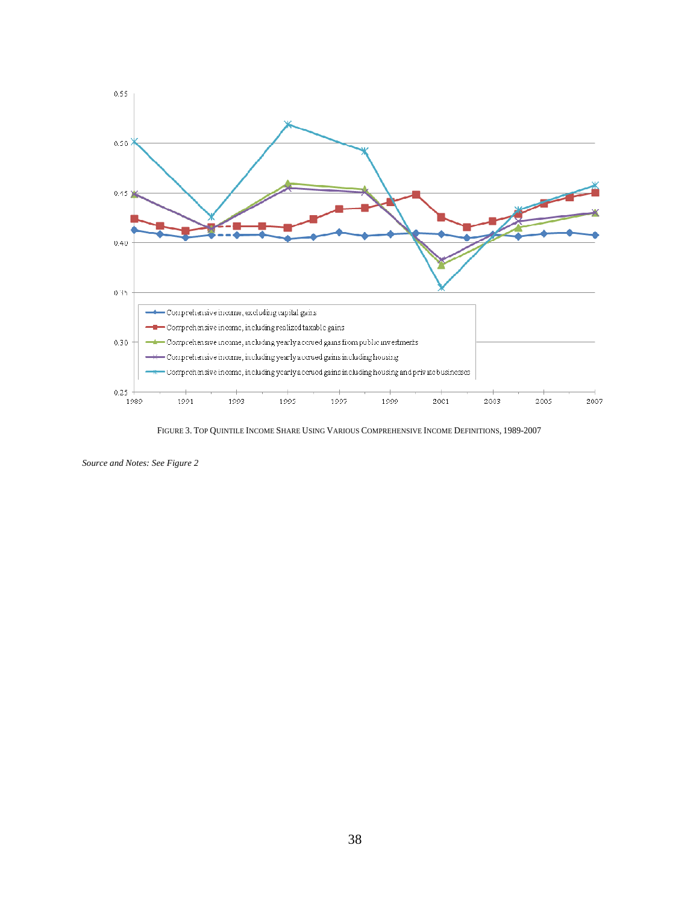

FIGURE 3. TOP QUINTILE INCOME SHARE USING VARIOUS COMPREHENSIVE INCOME DEFINITIONS, 1989-2007

*Source and Notes: See Figure 2*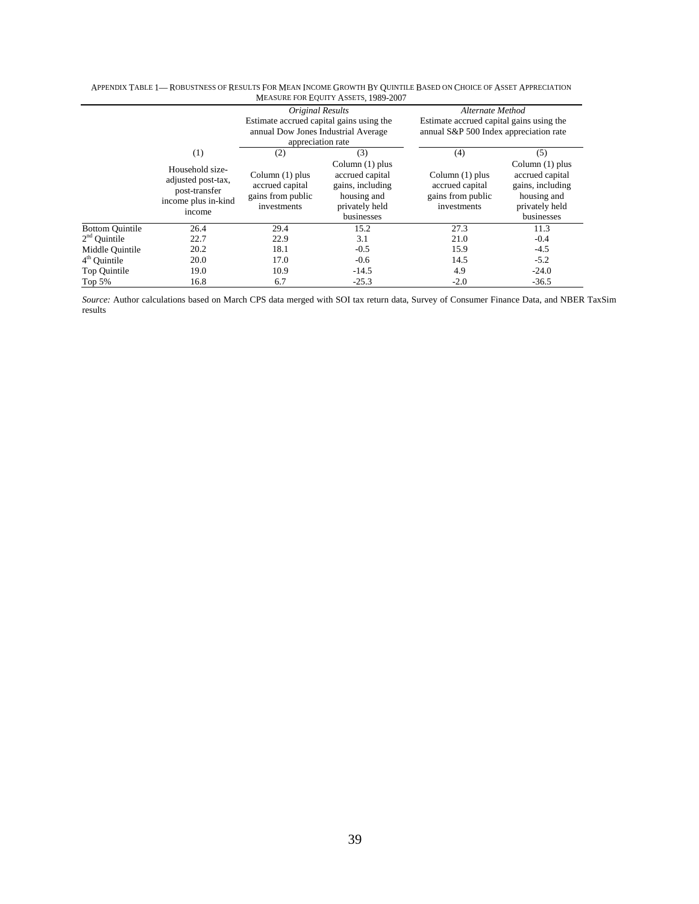|                        |                                                                                         | Original Results<br>Estimate accrued capital gains using the<br>annual Dow Jones Industrial Average<br>appreciation rate |                                                                                                         | Alternate Method<br>Estimate accrued capital gains using the<br>annual S&P 500 Index appreciation rate |                                                                                                         |
|------------------------|-----------------------------------------------------------------------------------------|--------------------------------------------------------------------------------------------------------------------------|---------------------------------------------------------------------------------------------------------|--------------------------------------------------------------------------------------------------------|---------------------------------------------------------------------------------------------------------|
|                        | (1)                                                                                     | (2)                                                                                                                      | (3)                                                                                                     | (4)                                                                                                    | (5)                                                                                                     |
|                        | Household size-<br>adjusted post-tax,<br>post-transfer<br>income plus in-kind<br>income | Column $(1)$ plus<br>accrued capital<br>gains from public<br>investments                                                 | Column $(1)$ plus<br>accrued capital<br>gains, including<br>housing and<br>privately held<br>businesses | Column $(1)$ plus<br>accrued capital<br>gains from public<br>investments                               | Column $(1)$ plus<br>accrued capital<br>gains, including<br>housing and<br>privately held<br>businesses |
| <b>Bottom Quintile</b> | 26.4                                                                                    | 29.4                                                                                                                     | 15.2                                                                                                    | 27.3                                                                                                   | 11.3                                                                                                    |
| $2nd$ Ouintile         | 22.7                                                                                    | 22.9                                                                                                                     | 3.1                                                                                                     | 21.0                                                                                                   | $-0.4$                                                                                                  |
| Middle Ouintile        | 20.2                                                                                    | 18.1                                                                                                                     | $-0.5$                                                                                                  | 15.9                                                                                                   | $-4.5$                                                                                                  |
| $4th$ Ouintile         | 20.0                                                                                    | 17.0                                                                                                                     | $-0.6$                                                                                                  | 14.5                                                                                                   | $-5.2$                                                                                                  |
| Top Quintile           | 19.0                                                                                    | 10.9                                                                                                                     | $-14.5$                                                                                                 | 4.9                                                                                                    | $-24.0$                                                                                                 |
| Top $5%$               | 16.8                                                                                    | 6.7                                                                                                                      | $-25.3$                                                                                                 | $-2.0$                                                                                                 | $-36.5$                                                                                                 |

#### APPENDIX TABLE 1— ROBUSTNESS OF RESULTS FOR MEAN INCOME GROWTH BY QUINTILE BASED ON CHOICE OF ASSET APPRECIATION MEASURE FOR EQUITY ASSETS, 1989-2007

*Source:* Author calculations based on March CPS data merged with SOI tax return data, Survey of Consumer Finance Data, and NBER TaxSim results